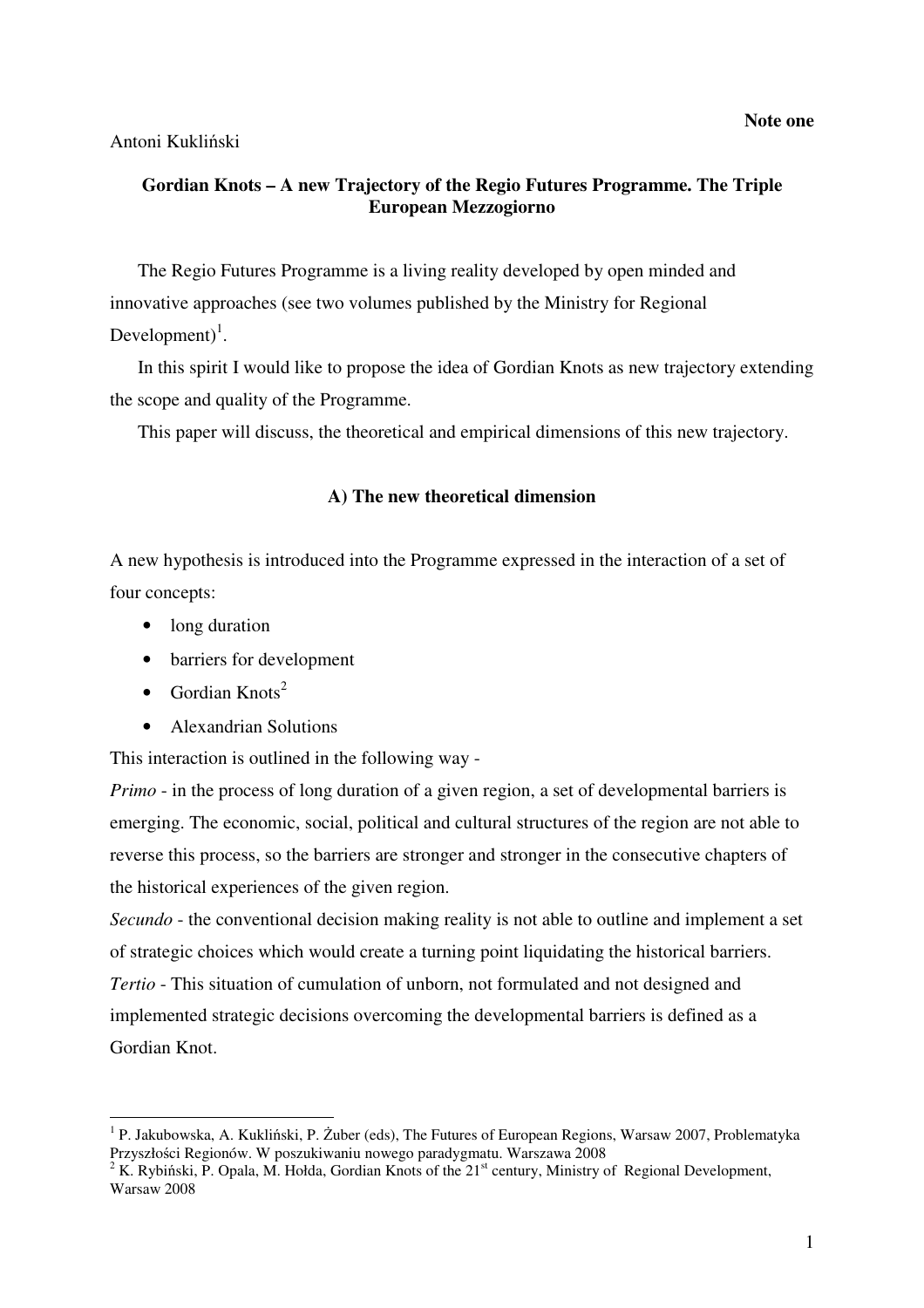**Note one**

### Antoni Kukliński

## **Gordian Knots – A new Trajectory of the Regio Futures Programme. The Triple European Mezzogiorno**

The Regio Futures Programme is a living reality developed by open minded and innovative approaches (see two volumes published by the Ministry for Regional Development $)^{1}$ .

In this spirit I would like to propose the idea of Gordian Knots as new trajectory extending the scope and quality of the Programme.

This paper will discuss, the theoretical and empirical dimensions of this new trajectory.

### **A) The new theoretical dimension**

A new hypothesis is introduced into the Programme expressed in the interaction of a set of four concepts:

- long duration
- barriers for development
- Gordian Knots<sup>2</sup>
- Alexandrian Solutions

This interaction is outlined in the following way -

*Primo* - in the process of long duration of a given region, a set of developmental barriers is emerging. The economic, social, political and cultural structures of the region are not able to reverse this process, so the barriers are stronger and stronger in the consecutive chapters of the historical experiences of the given region.

*Secundo* - the conventional decision making reality is not able to outline and implement a set of strategic choices which would create a turning point liquidating the historical barriers. *Tertio* - This situation of cumulation of unborn, not formulated and not designed and implemented strategic decisions overcoming the developmental barriers is defined as a Gordian Knot.

 1 P. Jakubowska, A. Kukliński, P. Żuber (eds), The Futures of European Regions, Warsaw 2007, Problematyka Przyszłości Regionów. W poszukiwaniu nowego paradygmatu. Warszawa 2008

<sup>&</sup>lt;sup>2</sup> K. Rybiński, P. Opala, M. Hołda, Gordian Knots of the  $21^{st}$  century, Ministry of Regional Development, Warsaw 2008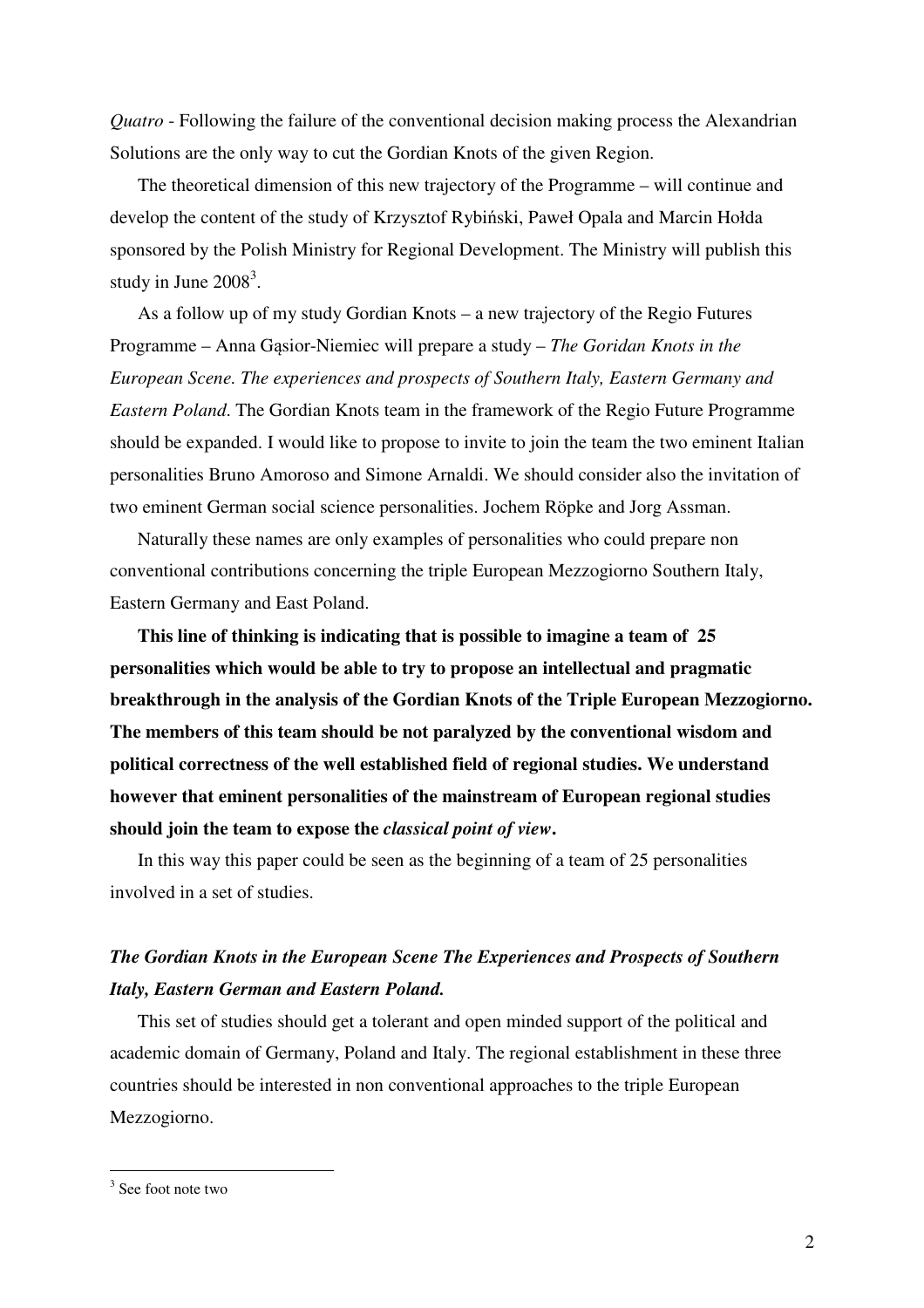*Quatro* - Following the failure of the conventional decision making process the Alexandrian Solutions are the only way to cut the Gordian Knots of the given Region.

The theoretical dimension of this new trajectory of the Programme – will continue and develop the content of the study of Krzysztof Rybiński, Paweł Opala and Marcin Hołda sponsored by the Polish Ministry for Regional Development. The Ministry will publish this study in June  $2008<sup>3</sup>$ .

As a follow up of my study Gordian Knots – a new trajectory of the Regio Futures Programme – Anna Gąsior-Niemiec will prepare a study – *The Goridan Knots in the European Scene. The experiences and prospects of Southern Italy, Eastern Germany and Eastern Poland*. The Gordian Knots team in the framework of the Regio Future Programme should be expanded. I would like to propose to invite to join the team the two eminent Italian personalities Bruno Amoroso and Simone Arnaldi. We should consider also the invitation of two eminent German social science personalities. Jochem Röpke and Jorg Assman.

Naturally these names are only examples of personalities who could prepare non conventional contributions concerning the triple European Mezzogiorno Southern Italy, Eastern Germany and East Poland.

**This line of thinking is indicating that is possible to imagine a team of 25 personalities which would be able to try to propose an intellectual and pragmatic breakthrough in the analysis of the Gordian Knots of the Triple European Mezzogiorno. The members of this team should be not paralyzed by the conventional wisdom and political correctness of the well established field of regional studies. We understand however that eminent personalities of the mainstream of European regional studies should join the team to expose the** *classical point of view***.** 

In this way this paper could be seen as the beginning of a team of 25 personalities involved in a set of studies.

# *The Gordian Knots in the European Scene The Experiences and Prospects of Southern Italy, Eastern German and Eastern Poland.*

This set of studies should get a tolerant and open minded support of the political and academic domain of Germany, Poland and Italy. The regional establishment in these three countries should be interested in non conventional approaches to the triple European Mezzogiorno.

<sup>&</sup>lt;sup>3</sup> See foot note two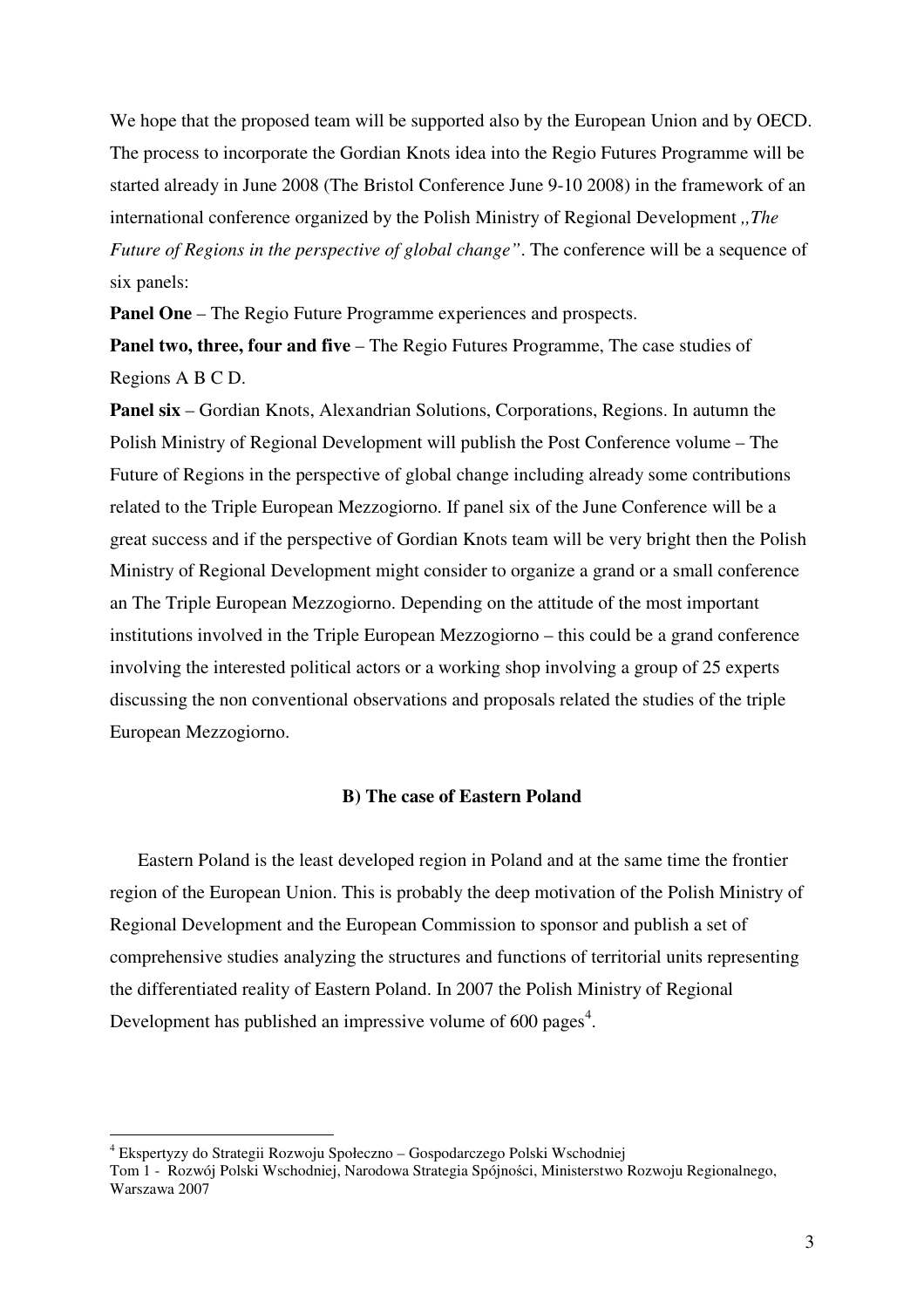We hope that the proposed team will be supported also by the European Union and by OECD. The process to incorporate the Gordian Knots idea into the Regio Futures Programme will be started already in June 2008 (The Bristol Conference June 9-10 2008) in the framework of an international conference organized by the Polish Ministry of Regional Development *,,The Future of Regions in the perspective of global change"*. The conference will be a sequence of six panels:

**Panel One** – The Regio Future Programme experiences and prospects.

**Panel two, three, four and five** – The Regio Futures Programme, The case studies of Regions A B C D.

**Panel six** – Gordian Knots, Alexandrian Solutions, Corporations, Regions. In autumn the Polish Ministry of Regional Development will publish the Post Conference volume – The Future of Regions in the perspective of global change including already some contributions related to the Triple European Mezzogiorno. If panel six of the June Conference will be a great success and if the perspective of Gordian Knots team will be very bright then the Polish Ministry of Regional Development might consider to organize a grand or a small conference an The Triple European Mezzogiorno. Depending on the attitude of the most important institutions involved in the Triple European Mezzogiorno – this could be a grand conference involving the interested political actors or a working shop involving a group of 25 experts discussing the non conventional observations and proposals related the studies of the triple European Mezzogiorno.

#### **B) The case of Eastern Poland**

Eastern Poland is the least developed region in Poland and at the same time the frontier region of the European Union. This is probably the deep motivation of the Polish Ministry of Regional Development and the European Commission to sponsor and publish a set of comprehensive studies analyzing the structures and functions of territorial units representing the differentiated reality of Eastern Poland. In 2007 the Polish Ministry of Regional Development has published an impressive volume of  $600 \text{ pages}^4$ .

<sup>4</sup> Ekspertyzy do Strategii Rozwoju Społeczno – Gospodarczego Polski Wschodniej

Tom 1 - Rozwój Polski Wschodniej, Narodowa Strategia Spójności, Ministerstwo Rozwoju Regionalnego, Warszawa 2007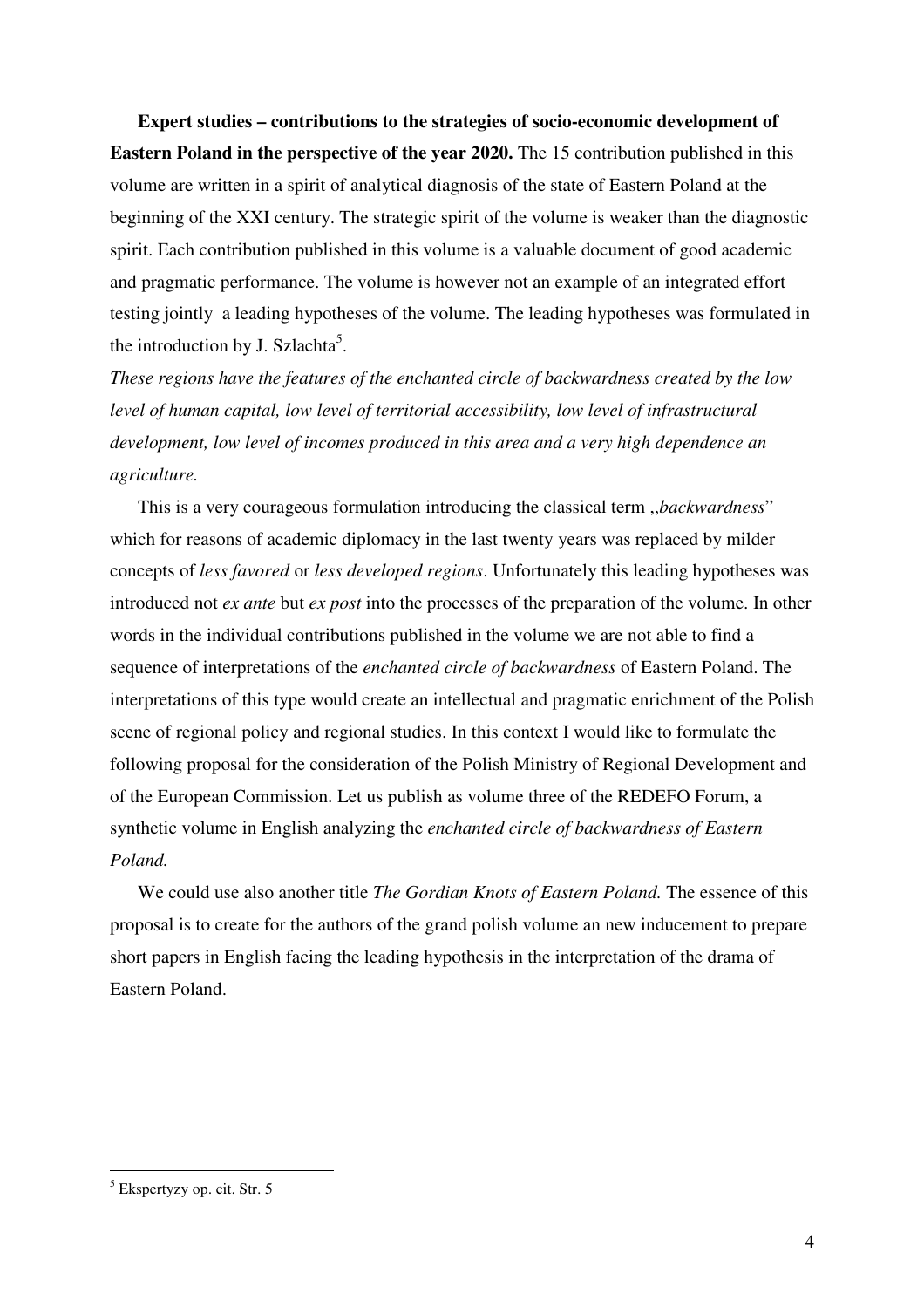**Expert studies – contributions to the strategies of socio-economic development of Eastern Poland in the perspective of the year 2020.** The 15 contribution published in this volume are written in a spirit of analytical diagnosis of the state of Eastern Poland at the beginning of the XXI century. The strategic spirit of the volume is weaker than the diagnostic spirit. Each contribution published in this volume is a valuable document of good academic and pragmatic performance. The volume is however not an example of an integrated effort testing jointly a leading hypotheses of the volume. The leading hypotheses was formulated in the introduction by J. Szlachta<sup>5</sup>.

*These regions have the features of the enchanted circle of backwardness created by the low level of human capital, low level of territorial accessibility, low level of infrastructural development, low level of incomes produced in this area and a very high dependence an agriculture.* 

This is a very courageous formulation introducing the classical term ,,*backwardness*" which for reasons of academic diplomacy in the last twenty years was replaced by milder concepts of *less favored* or *less developed regions*. Unfortunately this leading hypotheses was introduced not *ex ante* but *ex post* into the processes of the preparation of the volume. In other words in the individual contributions published in the volume we are not able to find a sequence of interpretations of the *enchanted circle of backwardness* of Eastern Poland. The interpretations of this type would create an intellectual and pragmatic enrichment of the Polish scene of regional policy and regional studies. In this context I would like to formulate the following proposal for the consideration of the Polish Ministry of Regional Development and of the European Commission. Let us publish as volume three of the REDEFO Forum, a synthetic volume in English analyzing the *enchanted circle of backwardness of Eastern Poland.* 

We could use also another title *The Gordian Knots of Eastern Poland.* The essence of this proposal is to create for the authors of the grand polish volume an new inducement to prepare short papers in English facing the leading hypothesis in the interpretation of the drama of Eastern Poland.

 5 Ekspertyzy op. cit. Str. 5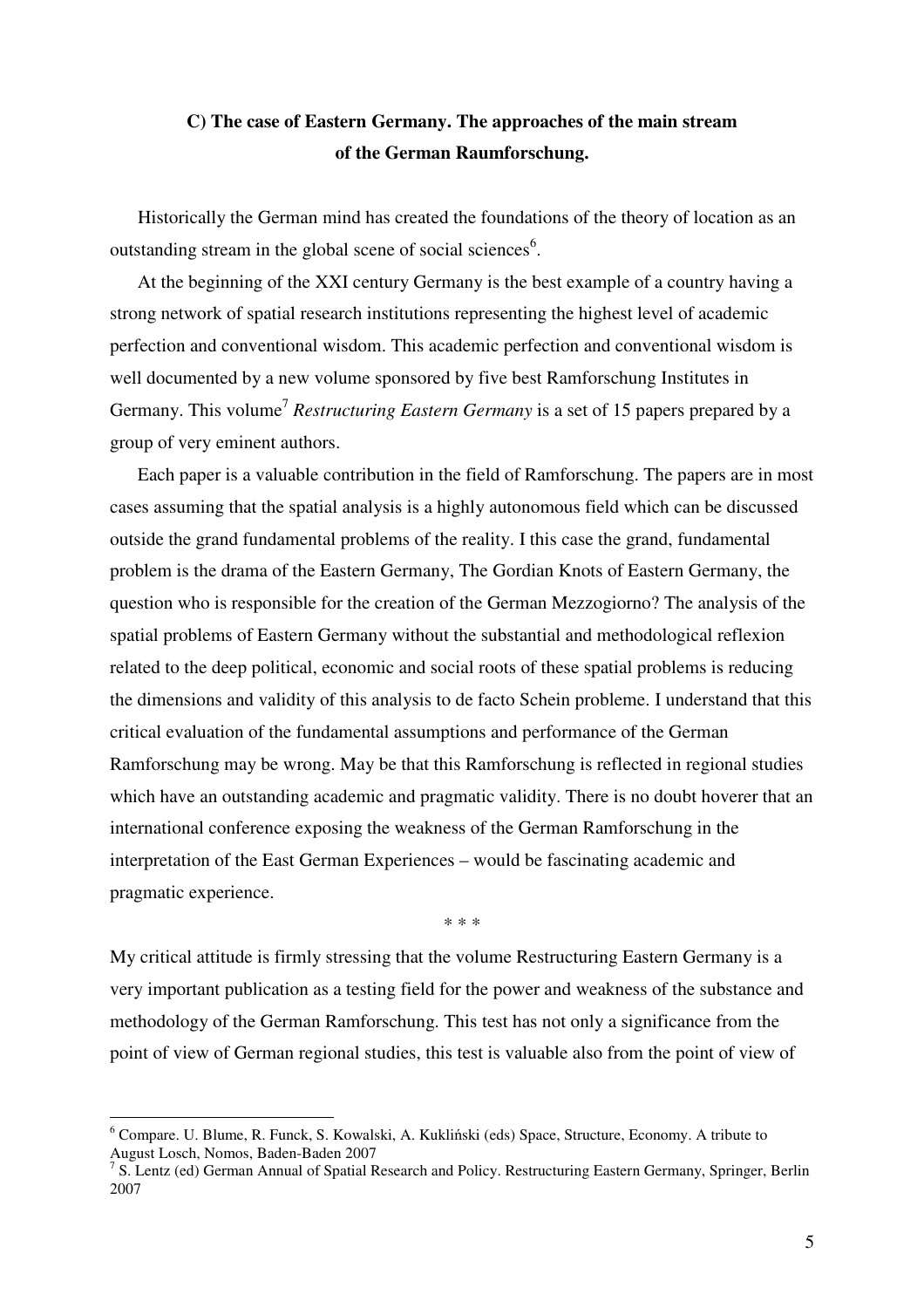# **C) The case of Eastern Germany. The approaches of the main stream of the German Raumforschung.**

Historically the German mind has created the foundations of the theory of location as an outstanding stream in the global scene of social sciences<sup>6</sup>.

At the beginning of the XXI century Germany is the best example of a country having a strong network of spatial research institutions representing the highest level of academic perfection and conventional wisdom. This academic perfection and conventional wisdom is well documented by a new volume sponsored by five best Ramforschung Institutes in Germany. This volume<sup>7</sup> Restructuring Eastern Germany is a set of 15 papers prepared by a group of very eminent authors.

Each paper is a valuable contribution in the field of Ramforschung. The papers are in most cases assuming that the spatial analysis is a highly autonomous field which can be discussed outside the grand fundamental problems of the reality. I this case the grand, fundamental problem is the drama of the Eastern Germany, The Gordian Knots of Eastern Germany, the question who is responsible for the creation of the German Mezzogiorno? The analysis of the spatial problems of Eastern Germany without the substantial and methodological reflexion related to the deep political, economic and social roots of these spatial problems is reducing the dimensions and validity of this analysis to de facto Schein probleme. I understand that this critical evaluation of the fundamental assumptions and performance of the German Ramforschung may be wrong. May be that this Ramforschung is reflected in regional studies which have an outstanding academic and pragmatic validity. There is no doubt hoverer that an international conference exposing the weakness of the German Ramforschung in the interpretation of the East German Experiences – would be fascinating academic and pragmatic experience.

\* \* \*

My critical attitude is firmly stressing that the volume Restructuring Eastern Germany is a very important publication as a testing field for the power and weakness of the substance and methodology of the German Ramforschung. This test has not only a significance from the point of view of German regional studies, this test is valuable also from the point of view of

<sup>6</sup> Compare. U. Blume, R. Funck, S. Kowalski, A. Kukliński (eds) Space, Structure, Economy. A tribute to August Losch, Nomos, Baden-Baden 2007

<sup>&</sup>lt;sup>7</sup> S. Lentz (ed) German Annual of Spatial Research and Policy. Restructuring Eastern Germany, Springer, Berlin 2007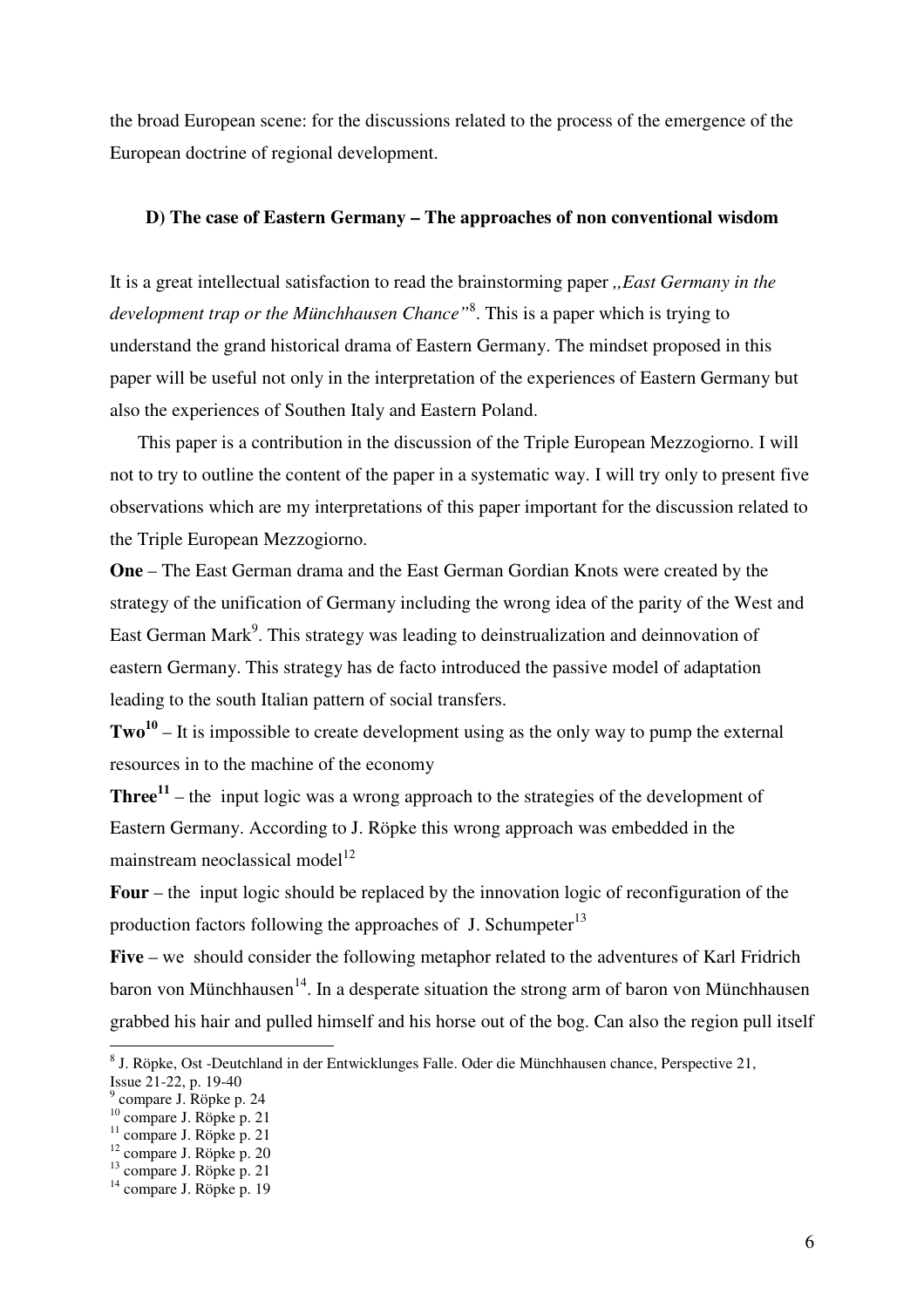the broad European scene: for the discussions related to the process of the emergence of the European doctrine of regional development.

#### **D) The case of Eastern Germany – The approaches of non conventional wisdom**

It is a great intellectual satisfaction to read the brainstorming paper *,,East Germany in the development trap or the Münchhausen Chance"*<sup>8</sup> . This is a paper which is trying to understand the grand historical drama of Eastern Germany. The mindset proposed in this paper will be useful not only in the interpretation of the experiences of Eastern Germany but also the experiences of Southen Italy and Eastern Poland.

This paper is a contribution in the discussion of the Triple European Mezzogiorno. I will not to try to outline the content of the paper in a systematic way. I will try only to present five observations which are my interpretations of this paper important for the discussion related to the Triple European Mezzogiorno.

**One** – The East German drama and the East German Gordian Knots were created by the strategy of the unification of Germany including the wrong idea of the parity of the West and East German Mark<sup>9</sup>. This strategy was leading to deinstrualization and deinnovation of eastern Germany. This strategy has de facto introduced the passive model of adaptation leading to the south Italian pattern of social transfers.

**Two<sup>10</sup>** – It is impossible to create development using as the only way to pump the external resources in to the machine of the economy

**Three<sup>11</sup>** – the input logic was a wrong approach to the strategies of the development of Eastern Germany. According to J. Röpke this wrong approach was embedded in the mainstream neoclassical model<sup>12</sup>

**Four** – the input logic should be replaced by the innovation logic of reconfiguration of the production factors following the approaches of J. Schumpeter $^{13}$ 

**Five** – we should consider the following metaphor related to the adventures of Karl Fridrich baron von Münchhausen<sup>14</sup>. In a desperate situation the strong arm of baron von Münchhausen grabbed his hair and pulled himself and his horse out of the bog. Can also the region pull itself

9 compare J. Röpke p. 24

<sup>&</sup>lt;sup>8</sup> J. Röpke, Ost -Deutchland in der Entwicklunges Falle. Oder die Münchhausen chance, Perspective 21, Issue 21-22, p. 19-40

<sup>10</sup> compare J. Röpke p. 21

<sup>&</sup>lt;sup>11</sup> compare J. Röpke p. 21

 $12$  compare J. Röpke p. 20

<sup>&</sup>lt;sup>13</sup> compare J. Röpke p. 21

 $14$  compare J. Röpke p. 19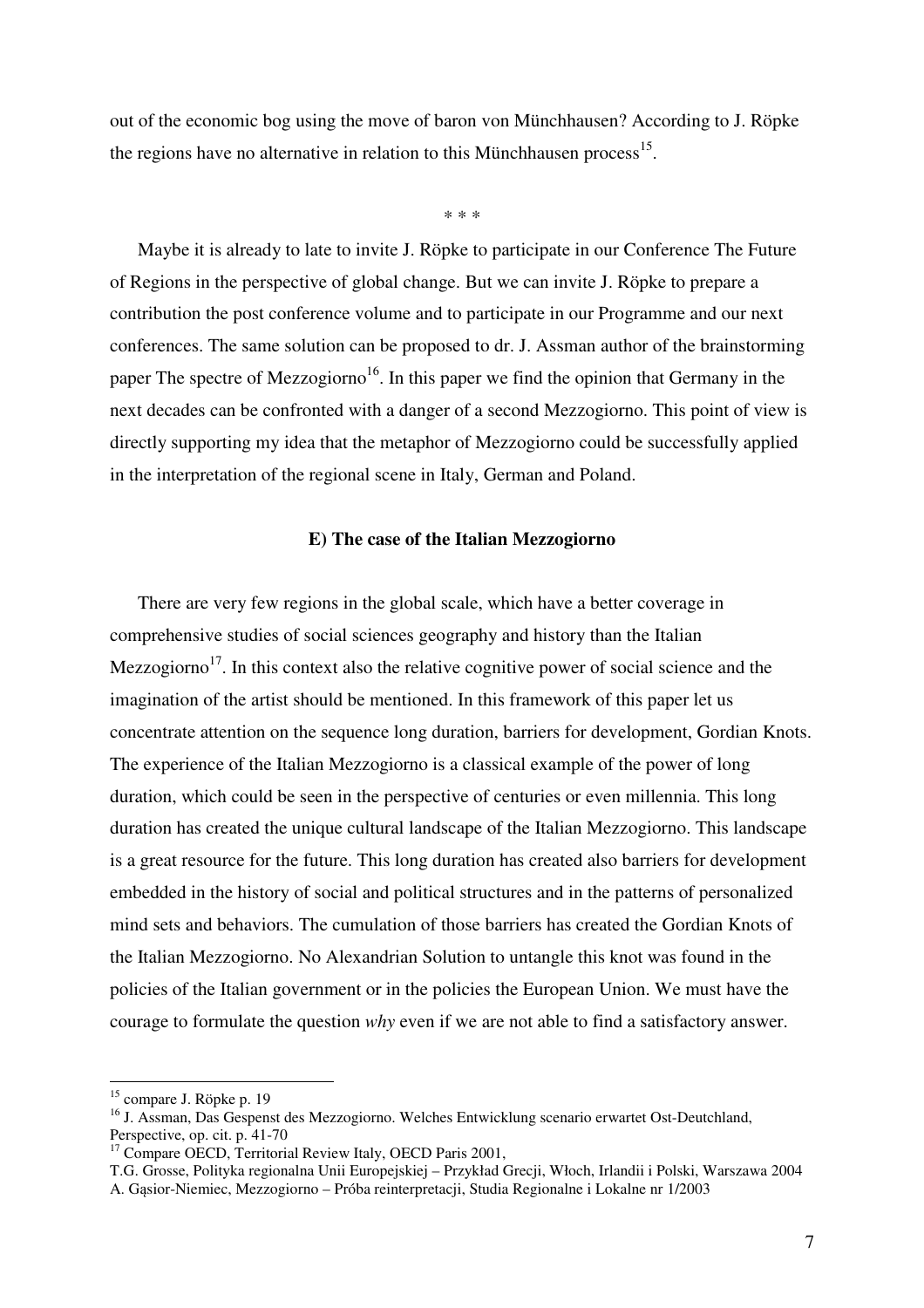out of the economic bog using the move of baron von Münchhausen? According to J. Röpke the regions have no alternative in relation to this Münchhausen process $^{15}$ .

\* \* \*

Maybe it is already to late to invite J. Röpke to participate in our Conference The Future of Regions in the perspective of global change. But we can invite J. Röpke to prepare a contribution the post conference volume and to participate in our Programme and our next conferences. The same solution can be proposed to dr. J. Assman author of the brainstorming paper The spectre of Mezzogiorno<sup>16</sup>. In this paper we find the opinion that Germany in the next decades can be confronted with a danger of a second Mezzogiorno. This point of view is directly supporting my idea that the metaphor of Mezzogiorno could be successfully applied in the interpretation of the regional scene in Italy, German and Poland.

#### **E) The case of the Italian Mezzogiorno**

There are very few regions in the global scale, which have a better coverage in comprehensive studies of social sciences geography and history than the Italian Mezzogiorno<sup>17</sup>. In this context also the relative cognitive power of social science and the imagination of the artist should be mentioned. In this framework of this paper let us concentrate attention on the sequence long duration, barriers for development, Gordian Knots. The experience of the Italian Mezzogiorno is a classical example of the power of long duration, which could be seen in the perspective of centuries or even millennia. This long duration has created the unique cultural landscape of the Italian Mezzogiorno. This landscape is a great resource for the future. This long duration has created also barriers for development embedded in the history of social and political structures and in the patterns of personalized mind sets and behaviors. The cumulation of those barriers has created the Gordian Knots of the Italian Mezzogiorno. No Alexandrian Solution to untangle this knot was found in the policies of the Italian government or in the policies the European Union. We must have the courage to formulate the question *why* even if we are not able to find a satisfactory answer.

 $\overline{a}$ 

T.G. Grosse, Polityka regionalna Unii Europejskiej – Przykład Grecji, Włoch, Irlandii i Polski, Warszawa 2004 A. Gąsior-Niemiec, Mezzogiorno – Próba reinterpretacji, Studia Regionalne i Lokalne nr 1/2003

<sup>&</sup>lt;sup>15</sup> compare J. Röpke p. 19

<sup>&</sup>lt;sup>16</sup> J. Assman, Das Gespenst des Mezzogiorno. Welches Entwicklung scenario erwartet Ost-Deutchland, Perspective, op. cit. p. 41-70

<sup>&</sup>lt;sup>17</sup> Compare OECD, Territorial Review Italy, OECD Paris 2001,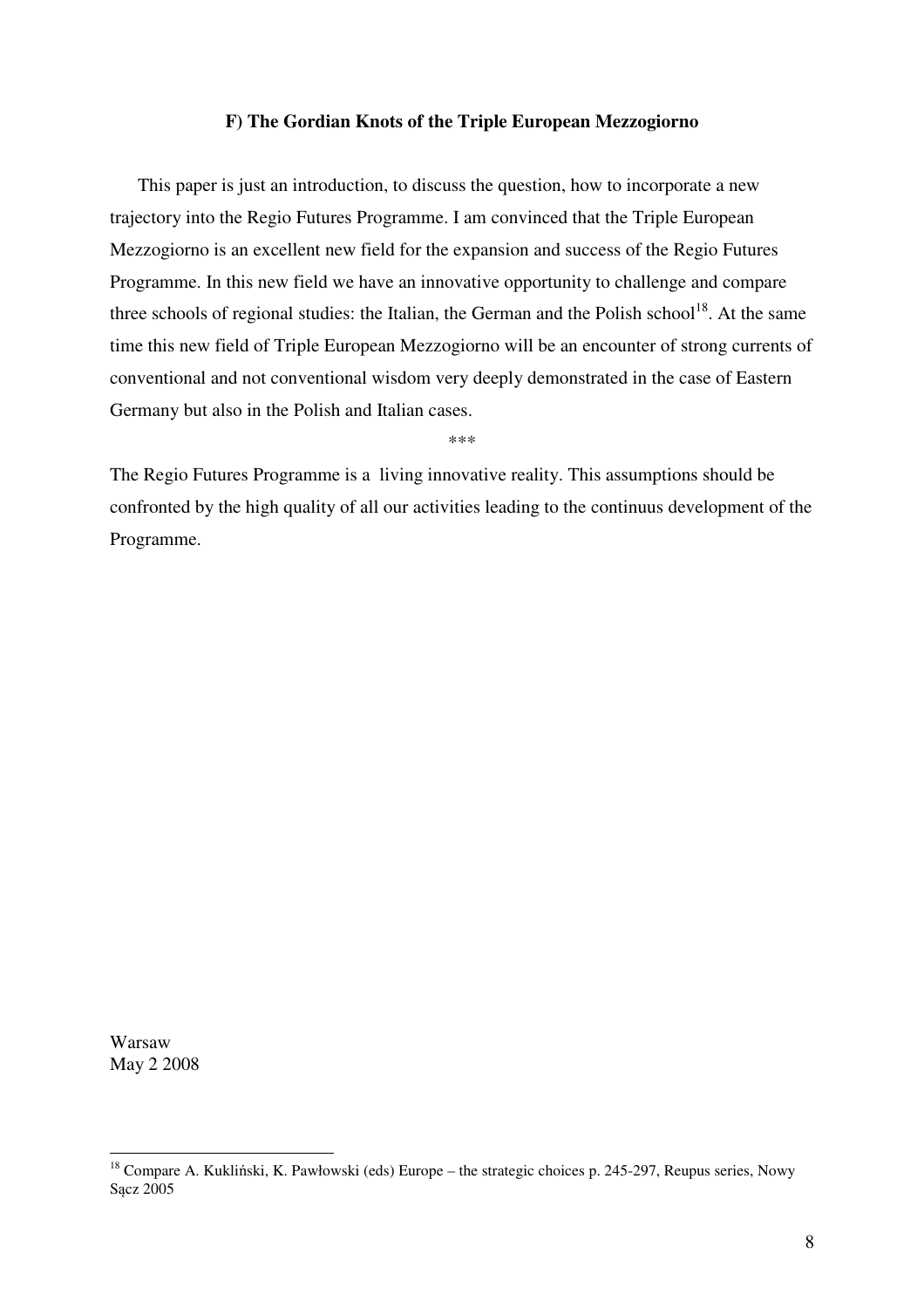#### **F) The Gordian Knots of the Triple European Mezzogiorno**

This paper is just an introduction, to discuss the question, how to incorporate a new trajectory into the Regio Futures Programme. I am convinced that the Triple European Mezzogiorno is an excellent new field for the expansion and success of the Regio Futures Programme. In this new field we have an innovative opportunity to challenge and compare three schools of regional studies: the Italian, the German and the Polish school<sup>18</sup>. At the same time this new field of Triple European Mezzogiorno will be an encounter of strong currents of conventional and not conventional wisdom very deeply demonstrated in the case of Eastern Germany but also in the Polish and Italian cases.

\*\*\*

The Regio Futures Programme is a living innovative reality. This assumptions should be confronted by the high quality of all our activities leading to the continuus development of the Programme.

Warsaw May 2 2008

<sup>&</sup>lt;sup>18</sup> Compare A. Kukliński, K. Pawłowski (eds) Europe – the strategic choices p. 245-297, Reupus series, Nowy Sącz 2005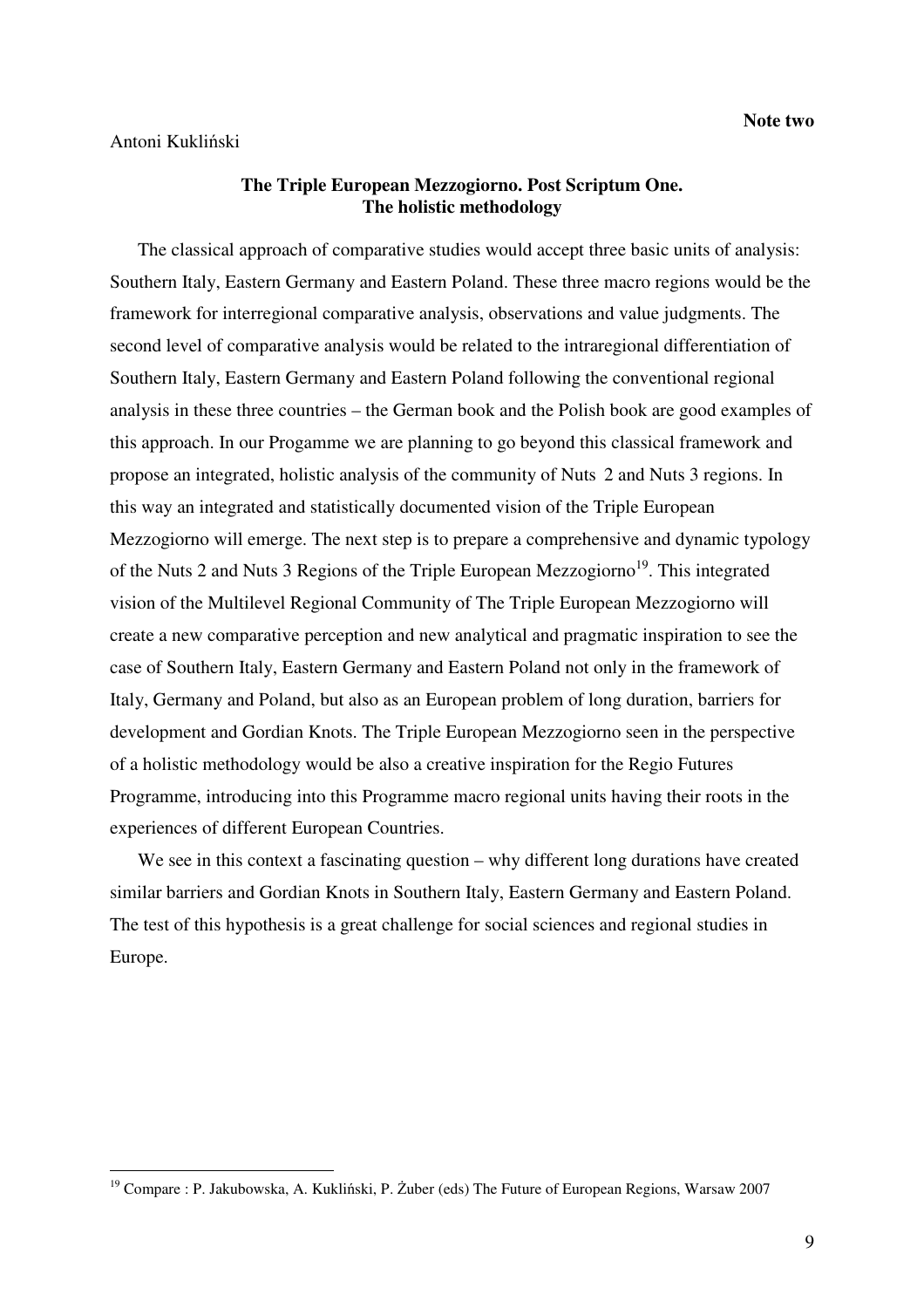#### Antoni Kukliński

 $\overline{a}$ 

## **The Triple European Mezzogiorno. Post Scriptum One. The holistic methodology**

The classical approach of comparative studies would accept three basic units of analysis: Southern Italy, Eastern Germany and Eastern Poland. These three macro regions would be the framework for interregional comparative analysis, observations and value judgments. The second level of comparative analysis would be related to the intraregional differentiation of Southern Italy, Eastern Germany and Eastern Poland following the conventional regional analysis in these three countries – the German book and the Polish book are good examples of this approach. In our Progamme we are planning to go beyond this classical framework and propose an integrated, holistic analysis of the community of Nuts 2 and Nuts 3 regions. In this way an integrated and statistically documented vision of the Triple European Mezzogiorno will emerge. The next step is to prepare a comprehensive and dynamic typology of the Nuts 2 and Nuts 3 Regions of the Triple European Mezzogiorno<sup>19</sup>. This integrated vision of the Multilevel Regional Community of The Triple European Mezzogiorno will create a new comparative perception and new analytical and pragmatic inspiration to see the case of Southern Italy, Eastern Germany and Eastern Poland not only in the framework of Italy, Germany and Poland, but also as an European problem of long duration, barriers for development and Gordian Knots. The Triple European Mezzogiorno seen in the perspective of a holistic methodology would be also a creative inspiration for the Regio Futures Programme, introducing into this Programme macro regional units having their roots in the experiences of different European Countries.

We see in this context a fascinating question – why different long durations have created similar barriers and Gordian Knots in Southern Italy, Eastern Germany and Eastern Poland. The test of this hypothesis is a great challenge for social sciences and regional studies in Europe.

<sup>&</sup>lt;sup>19</sup> Compare : P. Jakubowska, A. Kukliński, P. Żuber (eds) The Future of European Regions, Warsaw 2007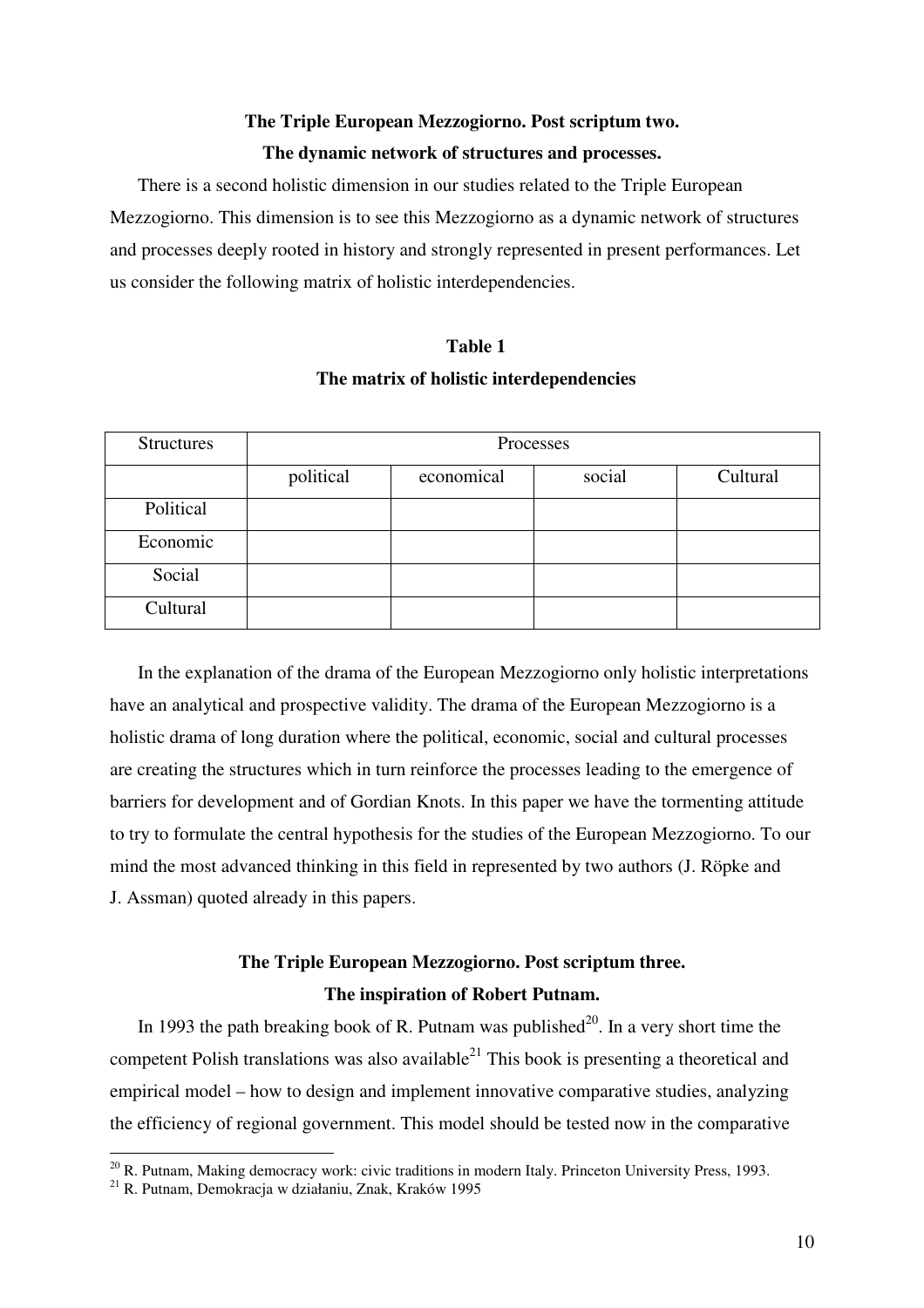# **The Triple European Mezzogiorno. Post scriptum two. The dynamic network of structures and processes.**

There is a second holistic dimension in our studies related to the Triple European Mezzogiorno. This dimension is to see this Mezzogiorno as a dynamic network of structures and processes deeply rooted in history and strongly represented in present performances. Let us consider the following matrix of holistic interdependencies.

# **Table 1 The matrix of holistic interdependencies**

| <b>Structures</b> | Processes |            |        |          |  |  |
|-------------------|-----------|------------|--------|----------|--|--|
|                   | political | economical | social | Cultural |  |  |
| Political         |           |            |        |          |  |  |
| Economic          |           |            |        |          |  |  |
| Social            |           |            |        |          |  |  |
| Cultural          |           |            |        |          |  |  |

In the explanation of the drama of the European Mezzogiorno only holistic interpretations have an analytical and prospective validity. The drama of the European Mezzogiorno is a holistic drama of long duration where the political, economic, social and cultural processes are creating the structures which in turn reinforce the processes leading to the emergence of barriers for development and of Gordian Knots. In this paper we have the tormenting attitude to try to formulate the central hypothesis for the studies of the European Mezzogiorno. To our mind the most advanced thinking in this field in represented by two authors (J. Röpke and J. Assman) quoted already in this papers.

# **The Triple European Mezzogiorno. Post scriptum three. The inspiration of Robert Putnam.**

In 1993 the path breaking book of R. Putnam was published $^{20}$ . In a very short time the competent Polish translations was also available<sup>21</sup> This book is presenting a theoretical and empirical model – how to design and implement innovative comparative studies, analyzing the efficiency of regional government. This model should be tested now in the comparative

 $20$  R. Putnam, Making democracy work: civic traditions in modern Italy. Princeton University Press, 1993.

<sup>21</sup> R. Putnam, Demokracja w działaniu, Znak, Kraków 1995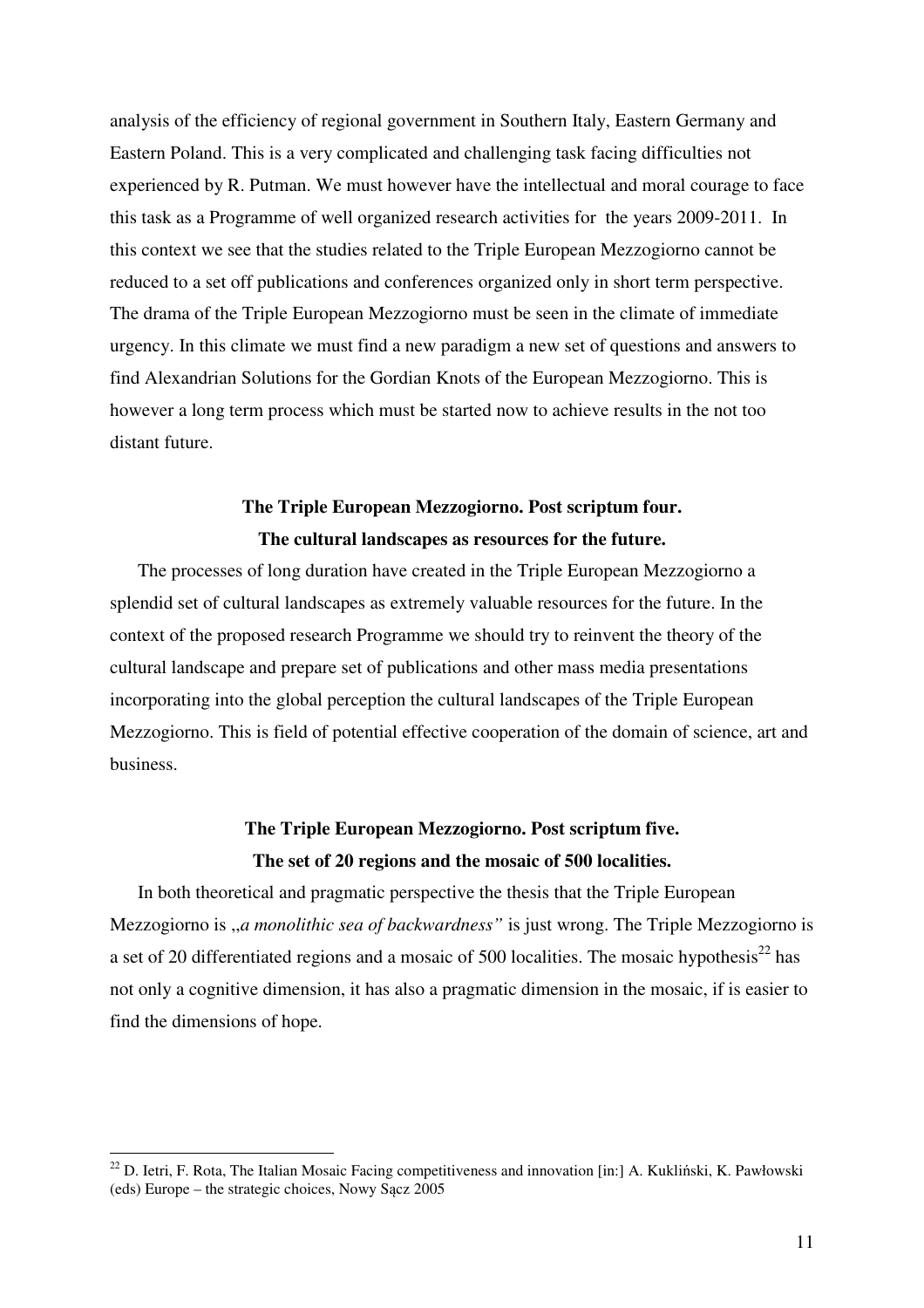analysis of the efficiency of regional government in Southern Italy, Eastern Germany and Eastern Poland. This is a very complicated and challenging task facing difficulties not experienced by R. Putman. We must however have the intellectual and moral courage to face this task as a Programme of well organized research activities for the years 2009-2011. In this context we see that the studies related to the Triple European Mezzogiorno cannot be reduced to a set off publications and conferences organized only in short term perspective. The drama of the Triple European Mezzogiorno must be seen in the climate of immediate urgency. In this climate we must find a new paradigm a new set of questions and answers to find Alexandrian Solutions for the Gordian Knots of the European Mezzogiorno. This is however a long term process which must be started now to achieve results in the not too distant future.

## **The Triple European Mezzogiorno. Post scriptum four. The cultural landscapes as resources for the future.**

The processes of long duration have created in the Triple European Mezzogiorno a splendid set of cultural landscapes as extremely valuable resources for the future. In the context of the proposed research Programme we should try to reinvent the theory of the cultural landscape and prepare set of publications and other mass media presentations incorporating into the global perception the cultural landscapes of the Triple European Mezzogiorno. This is field of potential effective cooperation of the domain of science, art and business.

# **The Triple European Mezzogiorno. Post scriptum five. The set of 20 regions and the mosaic of 500 localities.**

In both theoretical and pragmatic perspective the thesis that the Triple European Mezzogiorno is ,,*a monolithic sea of backwardness"* is just wrong. The Triple Mezzogiorno is a set of 20 differentiated regions and a mosaic of 500 localities. The mosaic hypothesis $^{22}$  has not only a cognitive dimension, it has also a pragmatic dimension in the mosaic, if is easier to find the dimensions of hope.

 $22$  D. Ietri, F. Rota, The Italian Mosaic Facing competitiveness and innovation [in:] A. Kukliński, K. Pawłowski (eds) Europe – the strategic choices, Nowy Sącz 2005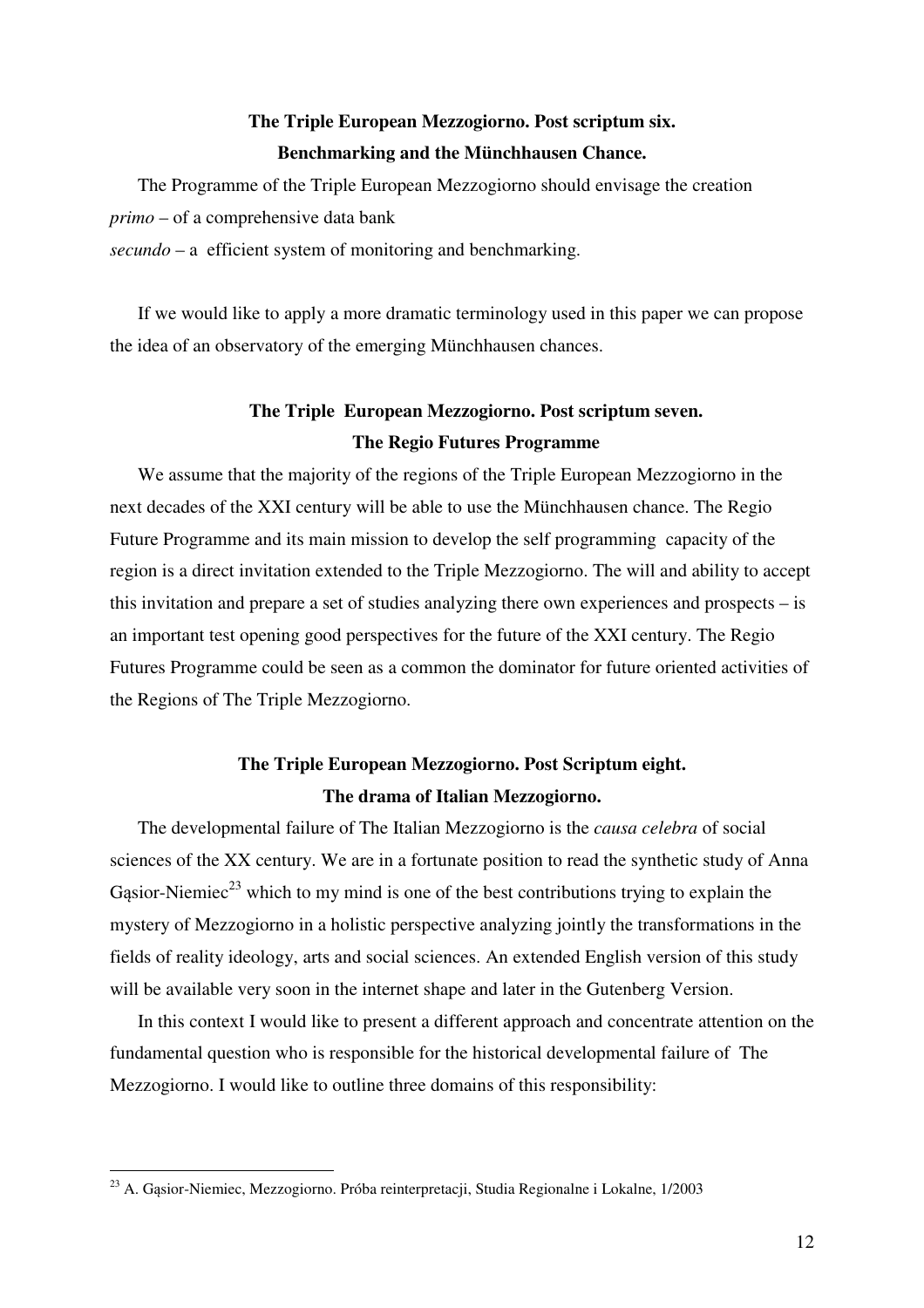# **The Triple European Mezzogiorno. Post scriptum six. Benchmarking and the Münchhausen Chance.**

The Programme of the Triple European Mezzogiorno should envisage the creation *primo* – of a comprehensive data bank

*secundo* – a efficient system of monitoring and benchmarking.

If we would like to apply a more dramatic terminology used in this paper we can propose the idea of an observatory of the emerging Münchhausen chances.

# **The Triple European Mezzogiorno. Post scriptum seven. The Regio Futures Programme**

We assume that the majority of the regions of the Triple European Mezzogiorno in the next decades of the XXI century will be able to use the Münchhausen chance. The Regio Future Programme and its main mission to develop the self programming capacity of the region is a direct invitation extended to the Triple Mezzogiorno. The will and ability to accept this invitation and prepare a set of studies analyzing there own experiences and prospects – is an important test opening good perspectives for the future of the XXI century. The Regio Futures Programme could be seen as a common the dominator for future oriented activities of the Regions of The Triple Mezzogiorno.

# **The Triple European Mezzogiorno. Post Scriptum eight. The drama of Italian Mezzogiorno.**

The developmental failure of The Italian Mezzogiorno is the *causa celebra* of social sciences of the XX century. We are in a fortunate position to read the synthetic study of Anna Gasior-Niemiec<sup>23</sup> which to my mind is one of the best contributions trying to explain the mystery of Mezzogiorno in a holistic perspective analyzing jointly the transformations in the fields of reality ideology, arts and social sciences. An extended English version of this study will be available very soon in the internet shape and later in the Gutenberg Version.

In this context I would like to present a different approach and concentrate attention on the fundamental question who is responsible for the historical developmental failure of The Mezzogiorno. I would like to outline three domains of this responsibility:

 $\overline{a}$ <sup>23</sup> A. Gąsior-Niemiec, Mezzogiorno. Próba reinterpretacji, Studia Regionalne i Lokalne, 1/2003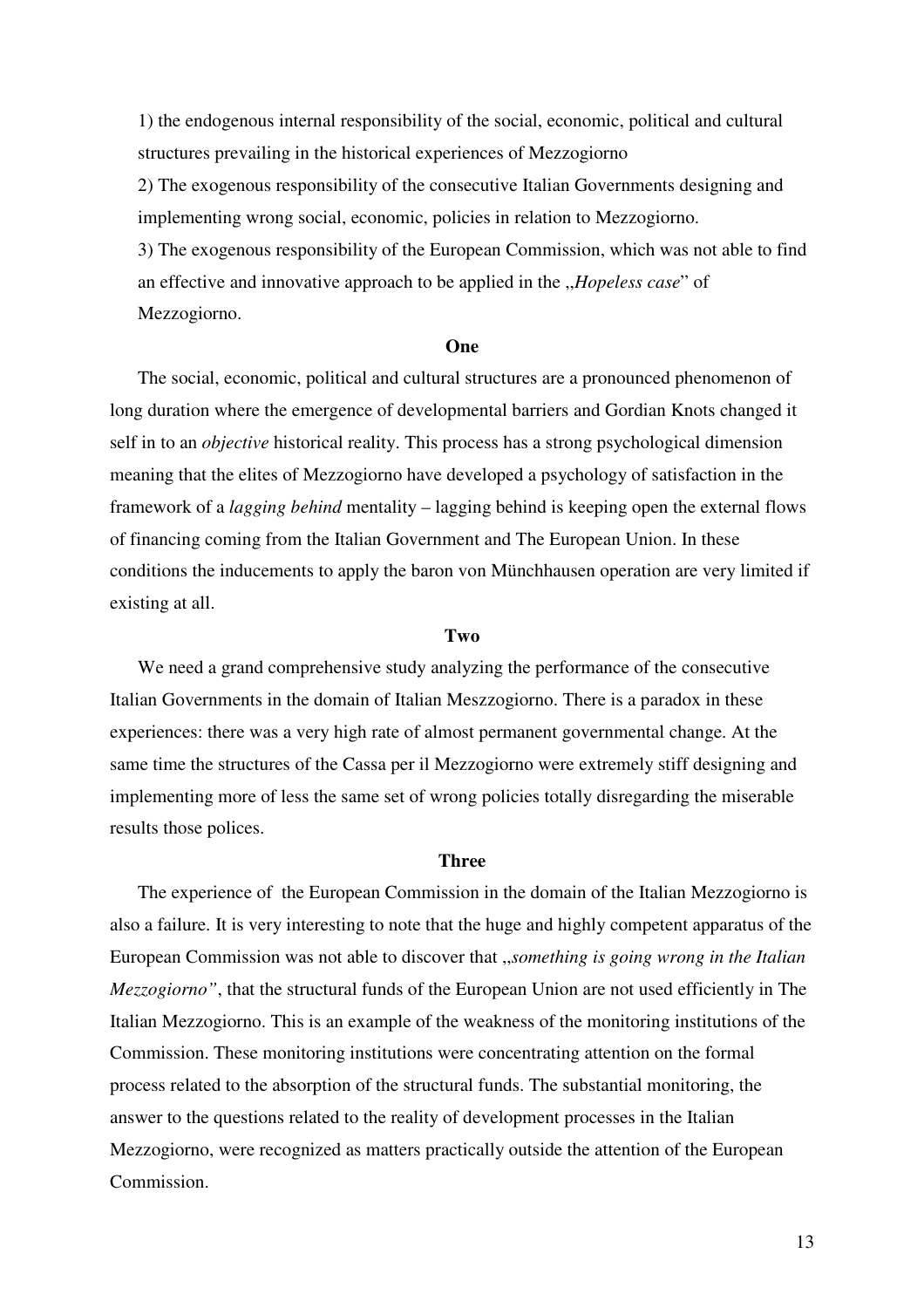1) the endogenous internal responsibility of the social, economic, political and cultural structures prevailing in the historical experiences of Mezzogiorno

2) The exogenous responsibility of the consecutive Italian Governments designing and implementing wrong social, economic, policies in relation to Mezzogiorno.

3) The exogenous responsibility of the European Commission, which was not able to find an effective and innovative approach to be applied in the ,,*Hopeless case*" of Mezzogiorno.

#### **One**

The social, economic, political and cultural structures are a pronounced phenomenon of long duration where the emergence of developmental barriers and Gordian Knots changed it self in to an *objective* historical reality. This process has a strong psychological dimension meaning that the elites of Mezzogiorno have developed a psychology of satisfaction in the framework of a *lagging behind* mentality – lagging behind is keeping open the external flows of financing coming from the Italian Government and The European Union. In these conditions the inducements to apply the baron von Münchhausen operation are very limited if existing at all.

#### **Two**

We need a grand comprehensive study analyzing the performance of the consecutive Italian Governments in the domain of Italian Meszzogiorno. There is a paradox in these experiences: there was a very high rate of almost permanent governmental change. At the same time the structures of the Cassa per il Mezzogiorno were extremely stiff designing and implementing more of less the same set of wrong policies totally disregarding the miserable results those polices.

#### **Three**

The experience of the European Commission in the domain of the Italian Mezzogiorno is also a failure. It is very interesting to note that the huge and highly competent apparatus of the European Commission was not able to discover that ,,*something is going wrong in the Italian Mezzogiorno"*, that the structural funds of the European Union are not used efficiently in The Italian Mezzogiorno. This is an example of the weakness of the monitoring institutions of the Commission. These monitoring institutions were concentrating attention on the formal process related to the absorption of the structural funds. The substantial monitoring, the answer to the questions related to the reality of development processes in the Italian Mezzogiorno, were recognized as matters practically outside the attention of the European Commission.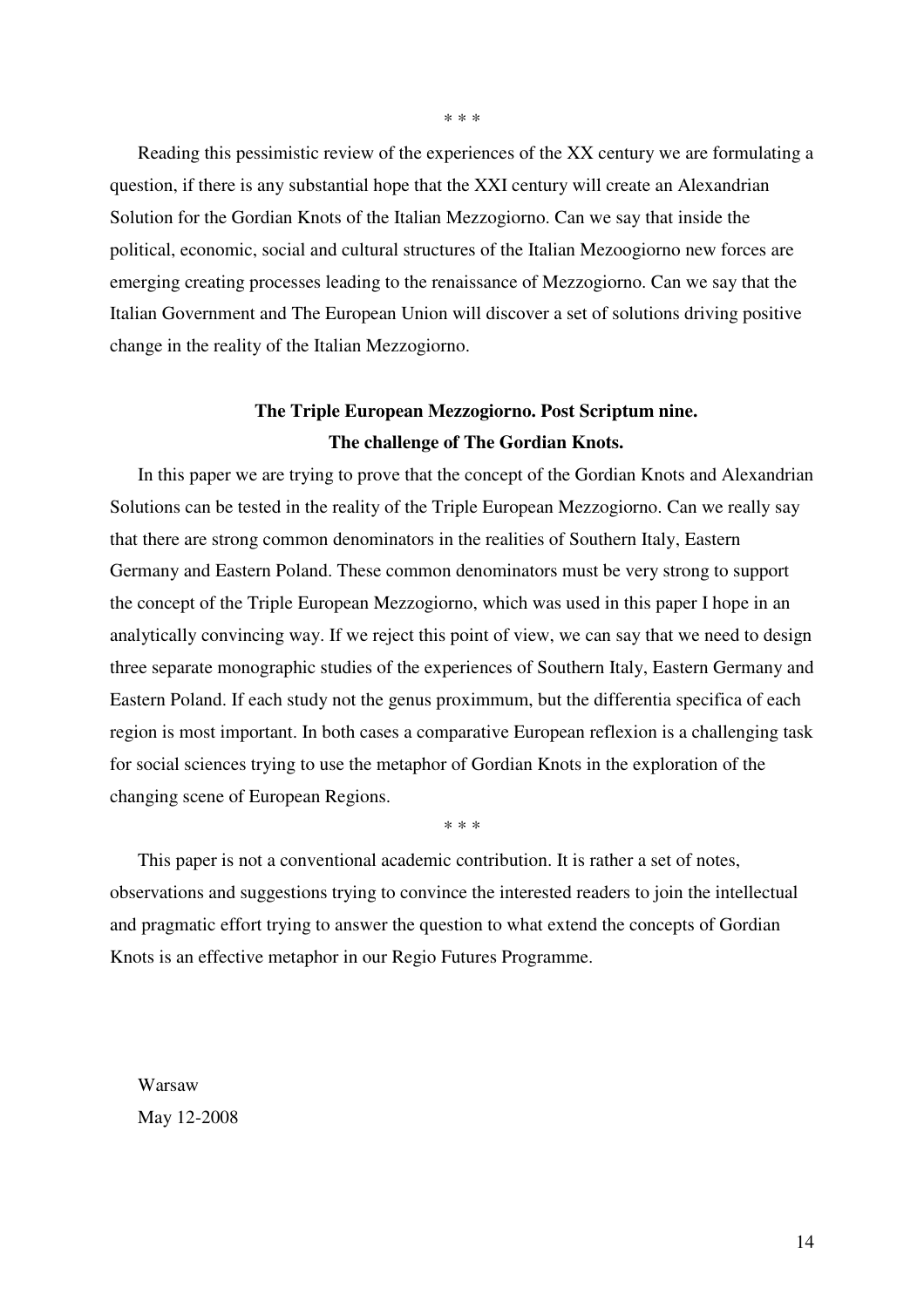Reading this pessimistic review of the experiences of the XX century we are formulating a question, if there is any substantial hope that the XXI century will create an Alexandrian Solution for the Gordian Knots of the Italian Mezzogiorno. Can we say that inside the political, economic, social and cultural structures of the Italian Mezoogiorno new forces are emerging creating processes leading to the renaissance of Mezzogiorno. Can we say that the Italian Government and The European Union will discover a set of solutions driving positive change in the reality of the Italian Mezzogiorno.

## **The Triple European Mezzogiorno. Post Scriptum nine. The challenge of The Gordian Knots.**

In this paper we are trying to prove that the concept of the Gordian Knots and Alexandrian Solutions can be tested in the reality of the Triple European Mezzogiorno. Can we really say that there are strong common denominators in the realities of Southern Italy, Eastern Germany and Eastern Poland. These common denominators must be very strong to support the concept of the Triple European Mezzogiorno, which was used in this paper I hope in an analytically convincing way. If we reject this point of view, we can say that we need to design three separate monographic studies of the experiences of Southern Italy, Eastern Germany and Eastern Poland. If each study not the genus proximmum, but the differentia specifica of each region is most important. In both cases a comparative European reflexion is a challenging task for social sciences trying to use the metaphor of Gordian Knots in the exploration of the changing scene of European Regions.

\* \* \*

This paper is not a conventional academic contribution. It is rather a set of notes, observations and suggestions trying to convince the interested readers to join the intellectual and pragmatic effort trying to answer the question to what extend the concepts of Gordian Knots is an effective metaphor in our Regio Futures Programme.

Warsaw May 12-2008 \* \* \*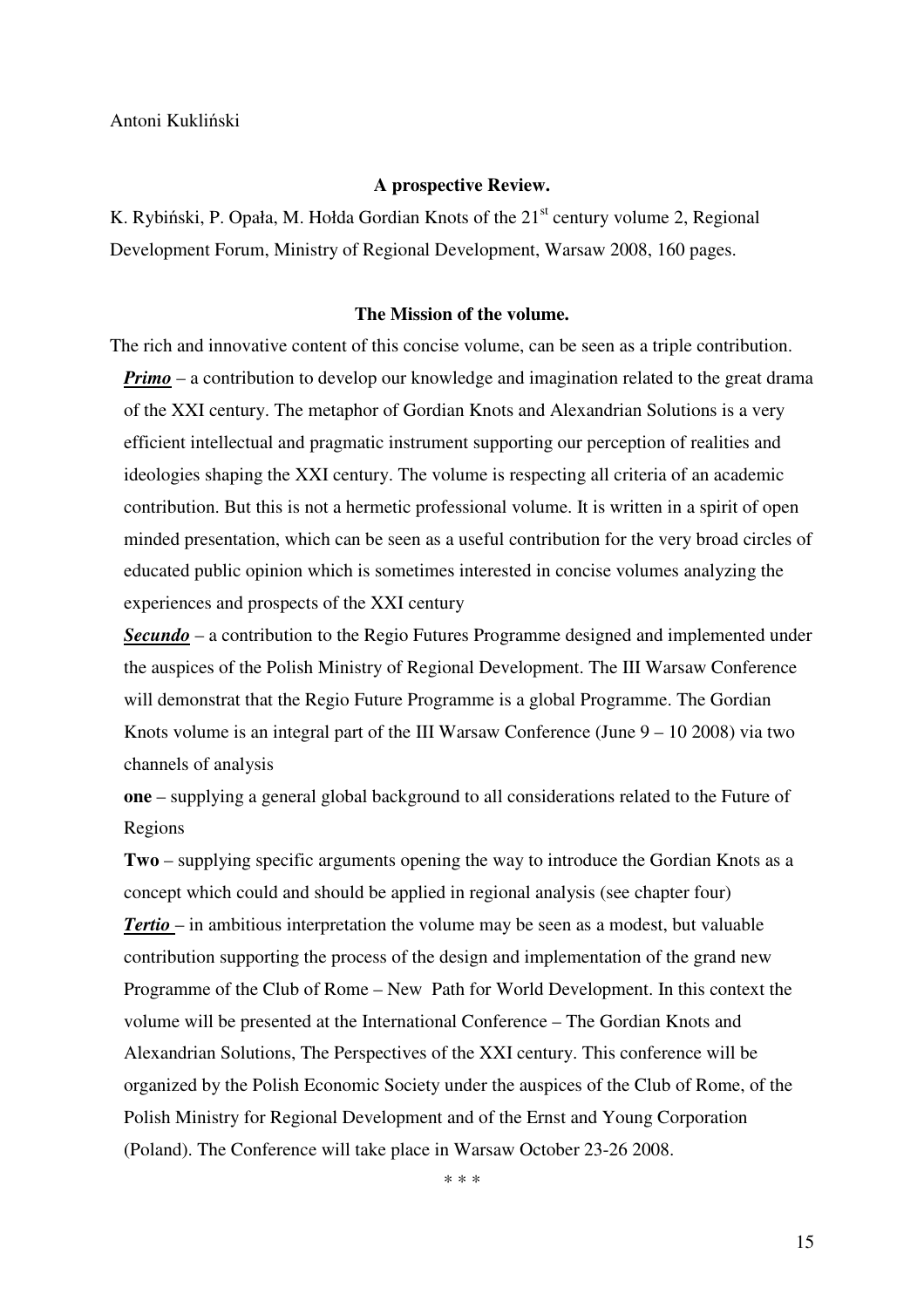#### **A prospective Review.**

K. Rybiński, P. Opała, M. Hołda Gordian Knots of the  $21<sup>st</sup>$  century volume 2, Regional Development Forum, Ministry of Regional Development, Warsaw 2008, 160 pages.

#### **The Mission of the volume.**

The rich and innovative content of this concise volume, can be seen as a triple contribution. *Primo* – a contribution to develop our knowledge and imagination related to the great drama of the XXI century. The metaphor of Gordian Knots and Alexandrian Solutions is a very efficient intellectual and pragmatic instrument supporting our perception of realities and ideologies shaping the XXI century. The volume is respecting all criteria of an academic contribution. But this is not a hermetic professional volume. It is written in a spirit of open minded presentation, which can be seen as a useful contribution for the very broad circles of educated public opinion which is sometimes interested in concise volumes analyzing the experiences and prospects of the XXI century

*Secundo* – a contribution to the Regio Futures Programme designed and implemented under the auspices of the Polish Ministry of Regional Development. The III Warsaw Conference will demonstrat that the Regio Future Programme is a global Programme. The Gordian Knots volume is an integral part of the III Warsaw Conference (June  $9 - 10\,2008$ ) via two channels of analysis

**one** – supplying a general global background to all considerations related to the Future of Regions

**Two** – supplying specific arguments opening the way to introduce the Gordian Knots as a concept which could and should be applied in regional analysis (see chapter four) *Tertio* – in ambitious interpretation the volume may be seen as a modest, but valuable contribution supporting the process of the design and implementation of the grand new Programme of the Club of Rome – New Path for World Development. In this context the volume will be presented at the International Conference – The Gordian Knots and Alexandrian Solutions, The Perspectives of the XXI century. This conference will be organized by the Polish Economic Society under the auspices of the Club of Rome, of the Polish Ministry for Regional Development and of the Ernst and Young Corporation (Poland). The Conference will take place in Warsaw October 23-26 2008.

\* \* \*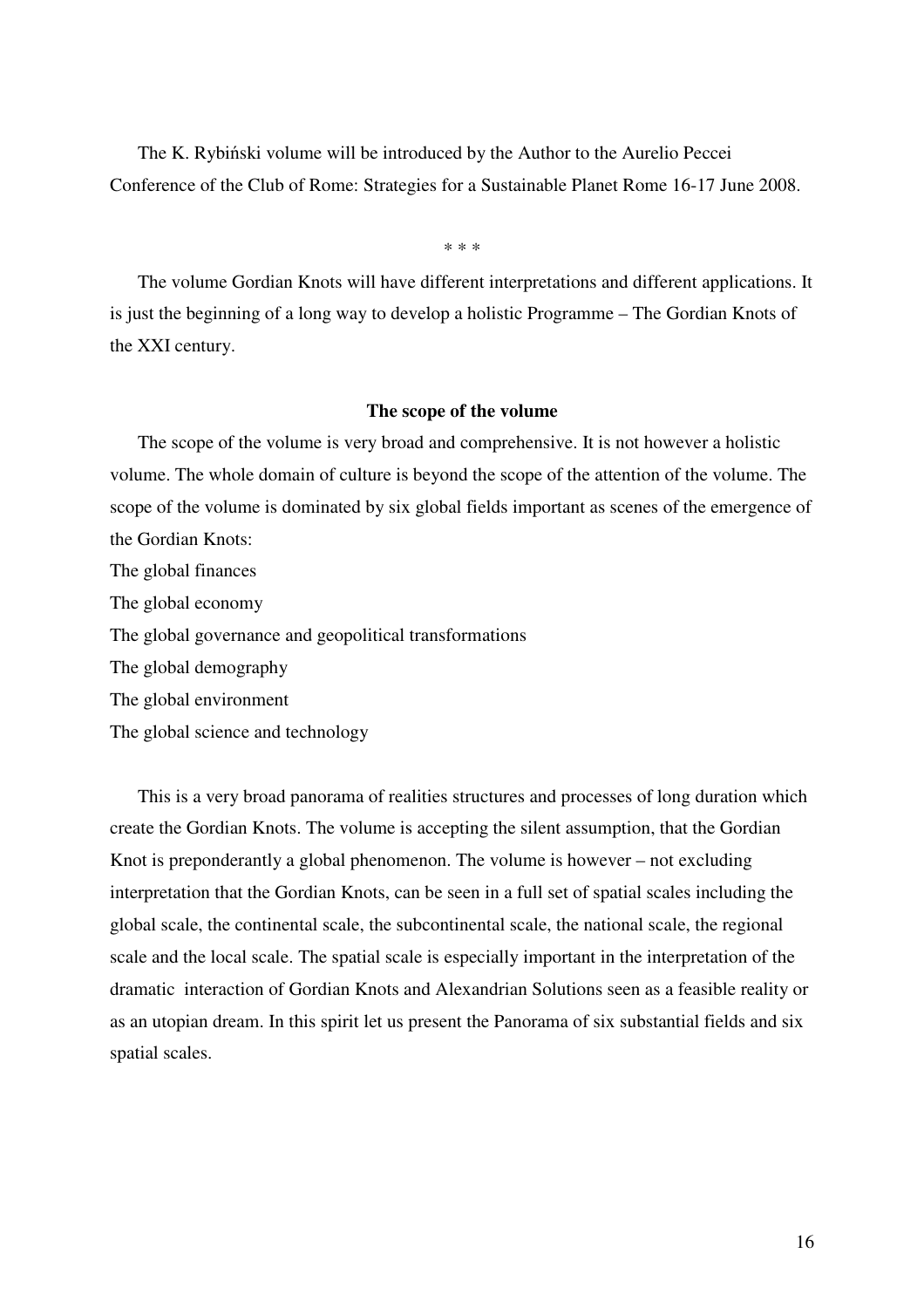The K. Rybiński volume will be introduced by the Author to the Aurelio Peccei Conference of the Club of Rome: Strategies for a Sustainable Planet Rome 16-17 June 2008.

\* \* \*

The volume Gordian Knots will have different interpretations and different applications. It is just the beginning of a long way to develop a holistic Programme – The Gordian Knots of the XXI century.

#### **The scope of the volume**

The scope of the volume is very broad and comprehensive. It is not however a holistic volume. The whole domain of culture is beyond the scope of the attention of the volume. The scope of the volume is dominated by six global fields important as scenes of the emergence of the Gordian Knots: The global finances The global economy The global governance and geopolitical transformations The global demography The global environment

The global science and technology

This is a very broad panorama of realities structures and processes of long duration which create the Gordian Knots. The volume is accepting the silent assumption, that the Gordian Knot is preponderantly a global phenomenon. The volume is however – not excluding interpretation that the Gordian Knots, can be seen in a full set of spatial scales including the global scale, the continental scale, the subcontinental scale, the national scale, the regional scale and the local scale. The spatial scale is especially important in the interpretation of the dramatic interaction of Gordian Knots and Alexandrian Solutions seen as a feasible reality or as an utopian dream. In this spirit let us present the Panorama of six substantial fields and six spatial scales.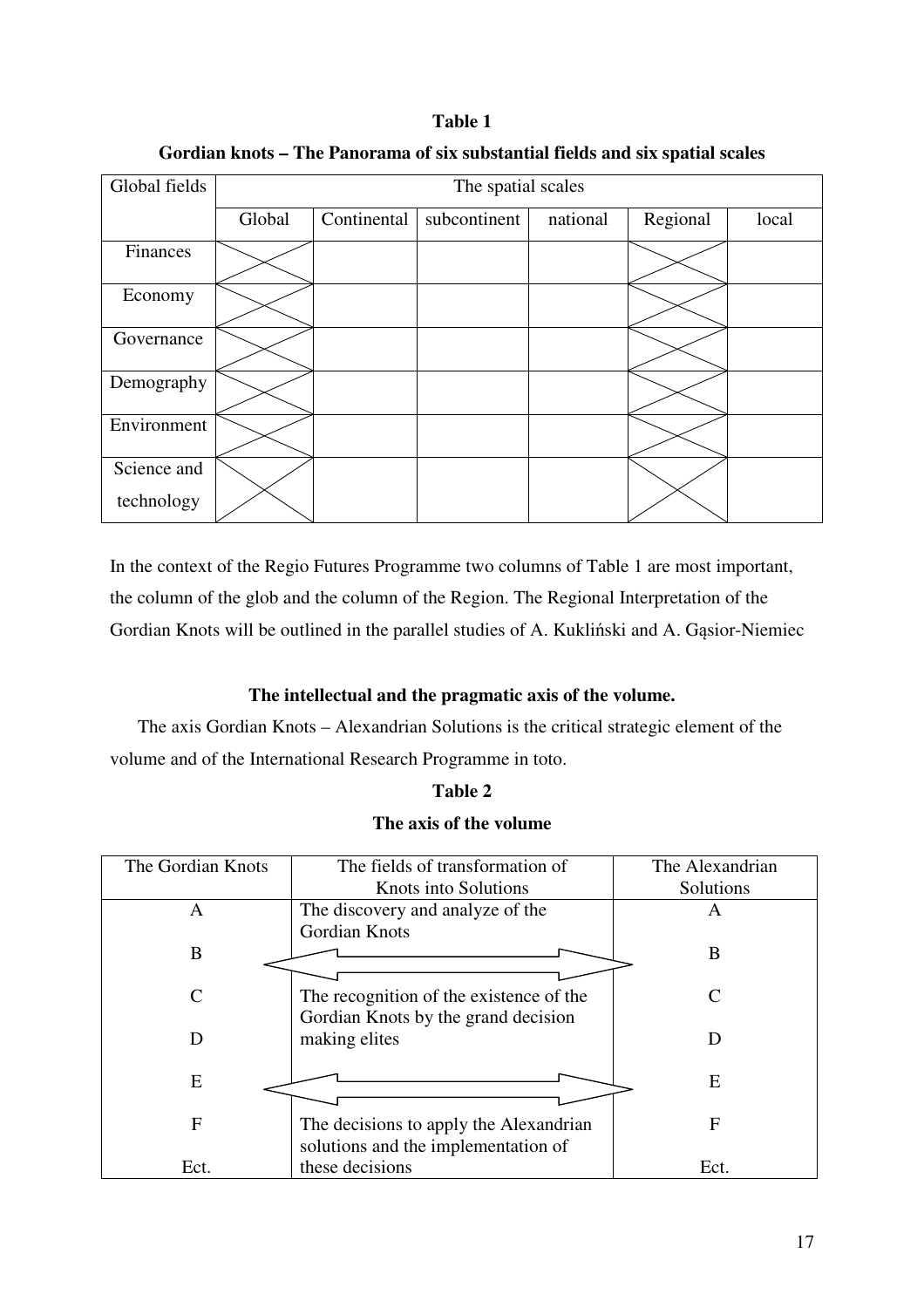| Table 1                                                                       |
|-------------------------------------------------------------------------------|
| Gordian knots – The Panorama of six substantial fields and six spatial scales |

| Global fields             | The spatial scales |             |              |          |          |       |
|---------------------------|--------------------|-------------|--------------|----------|----------|-------|
|                           | Global             | Continental | subcontinent | national | Regional | local |
| Finances                  |                    |             |              |          |          |       |
| Economy                   |                    |             |              |          |          |       |
| Governance                |                    |             |              |          |          |       |
| Demography                |                    |             |              |          |          |       |
| Environment               |                    |             |              |          |          |       |
| Science and<br>technology |                    |             |              |          |          |       |
|                           |                    |             |              |          |          |       |

In the context of the Regio Futures Programme two columns of Table 1 are most important, the column of the glob and the column of the Region. The Regional Interpretation of the Gordian Knots will be outlined in the parallel studies of A. Kukliński and A. Gąsior-Niemiec

## **The intellectual and the pragmatic axis of the volume.**

The axis Gordian Knots – Alexandrian Solutions is the critical strategic element of the volume and of the International Research Programme in toto.

### **Table 2**

## **The axis of the volume**

| The Gordian Knots | The fields of transformation of         | The Alexandrian |  |
|-------------------|-----------------------------------------|-----------------|--|
|                   | Knots into Solutions                    | Solutions       |  |
| A                 | The discovery and analyze of the        | A               |  |
|                   | Gordian Knots                           |                 |  |
| B                 |                                         | B               |  |
|                   |                                         |                 |  |
| C                 | The recognition of the existence of the | $\subset$       |  |
|                   | Gordian Knots by the grand decision     |                 |  |
| D                 | making elites                           | D               |  |
|                   |                                         |                 |  |
| E                 |                                         | E               |  |
|                   |                                         |                 |  |
| F                 | The decisions to apply the Alexandrian  | F               |  |
|                   | solutions and the implementation of     |                 |  |
| Ect.              | these decisions                         | Ect.            |  |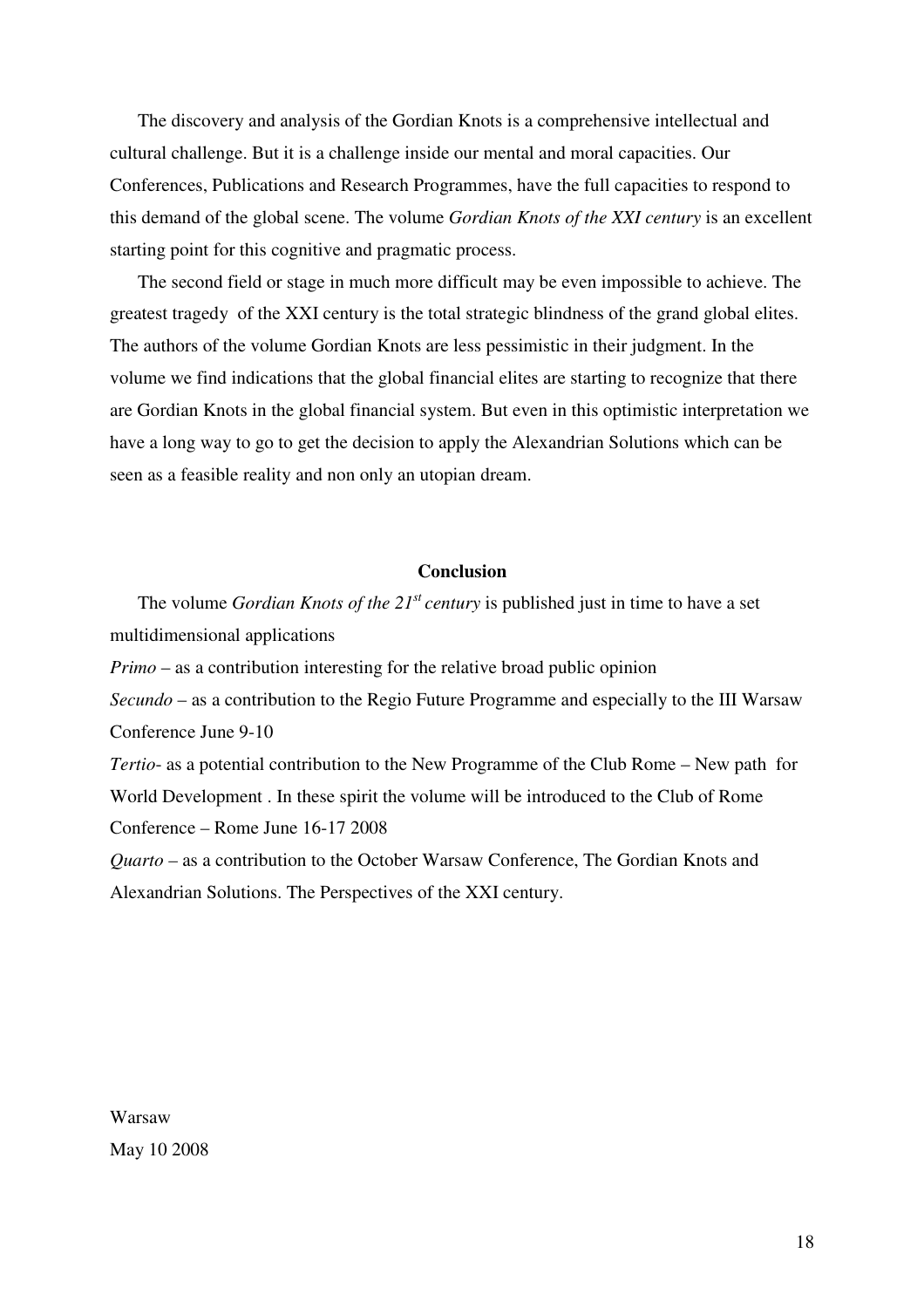The discovery and analysis of the Gordian Knots is a comprehensive intellectual and cultural challenge. But it is a challenge inside our mental and moral capacities. Our Conferences, Publications and Research Programmes, have the full capacities to respond to this demand of the global scene. The volume *Gordian Knots of the XXI century* is an excellent starting point for this cognitive and pragmatic process.

The second field or stage in much more difficult may be even impossible to achieve. The greatest tragedy of the XXI century is the total strategic blindness of the grand global elites. The authors of the volume Gordian Knots are less pessimistic in their judgment. In the volume we find indications that the global financial elites are starting to recognize that there are Gordian Knots in the global financial system. But even in this optimistic interpretation we have a long way to go to get the decision to apply the Alexandrian Solutions which can be seen as a feasible reality and non only an utopian dream.

#### **Conclusion**

The volume *Gordian Knots of the 21st century* is published just in time to have a set multidimensional applications

*Primo* – as a contribution interesting for the relative broad public opinion

*Secundo* – as a contribution to the Regio Future Programme and especially to the III Warsaw Conference June 9-10

*Tertio*- as a potential contribution to the New Programme of the Club Rome – New path for World Development . In these spirit the volume will be introduced to the Club of Rome Conference – Rome June 16-17 2008

*Quarto –* as a contribution to the October Warsaw Conference, The Gordian Knots and Alexandrian Solutions. The Perspectives of the XXI century.

Warsaw May 10 2008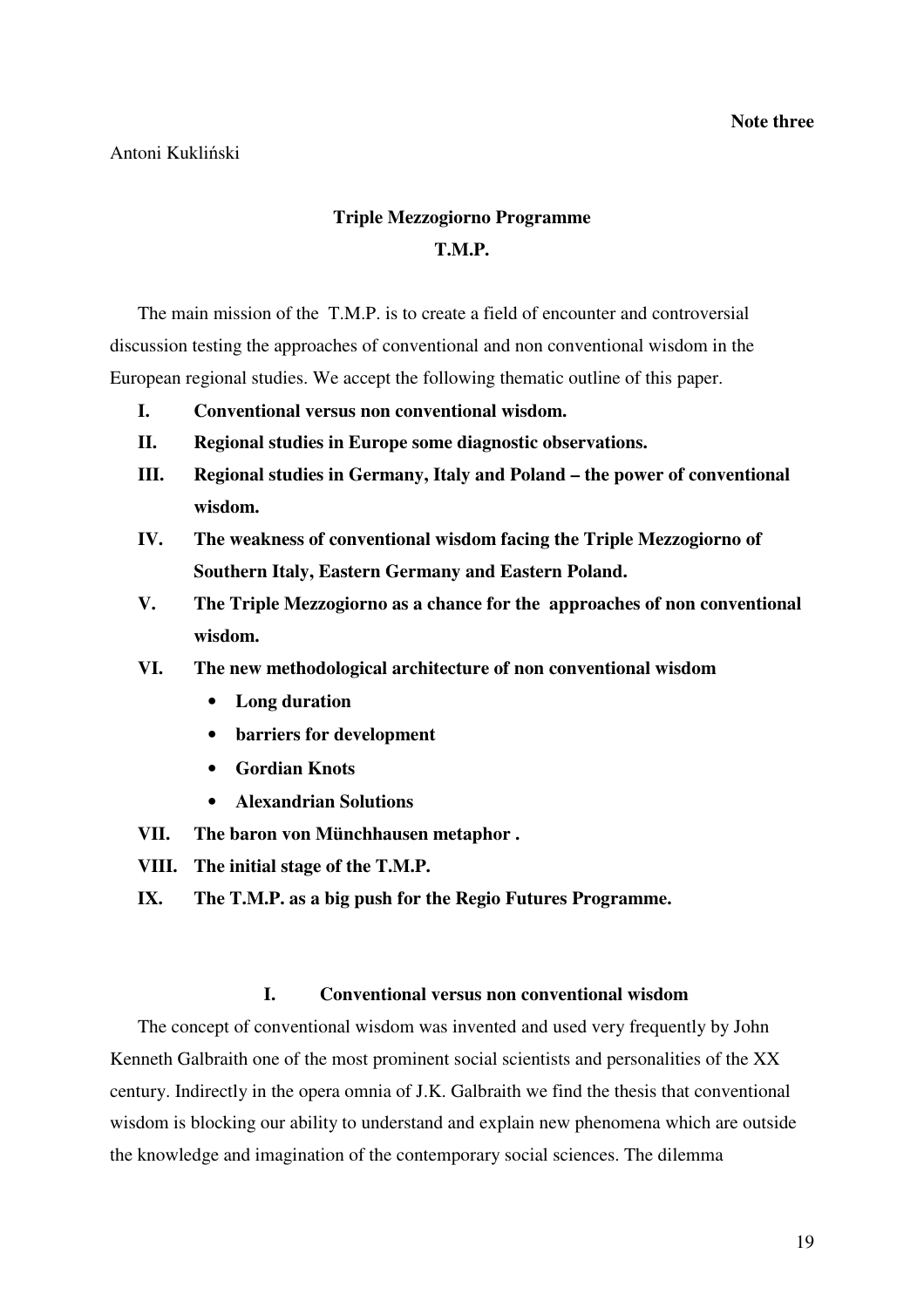### Antoni Kukliński

## **Triple Mezzogiorno Programme T.M.P.**

The main mission of the T.M.P. is to create a field of encounter and controversial discussion testing the approaches of conventional and non conventional wisdom in the European regional studies. We accept the following thematic outline of this paper.

- **I. Conventional versus non conventional wisdom.**
- **II. Regional studies in Europe some diagnostic observations.**
- **III. Regional studies in Germany, Italy and Poland the power of conventional wisdom.**
- **IV. The weakness of conventional wisdom facing the Triple Mezzogiorno of Southern Italy, Eastern Germany and Eastern Poland.**
- **V. The Triple Mezzogiorno as a chance for the approaches of non conventional wisdom.**
- **VI. The new methodological architecture of non conventional wisdom** 
	- **Long duration**
	- **barriers for development**
	- **Gordian Knots**
	- **Alexandrian Solutions**
- **VII. The baron von Münchhausen metaphor .**
- **VIII. The initial stage of the T.M.P.**
- **IX. The T.M.P. as a big push for the Regio Futures Programme.**

## **I. Conventional versus non conventional wisdom**

The concept of conventional wisdom was invented and used very frequently by John Kenneth Galbraith one of the most prominent social scientists and personalities of the XX century. Indirectly in the opera omnia of J.K. Galbraith we find the thesis that conventional wisdom is blocking our ability to understand and explain new phenomena which are outside the knowledge and imagination of the contemporary social sciences. The dilemma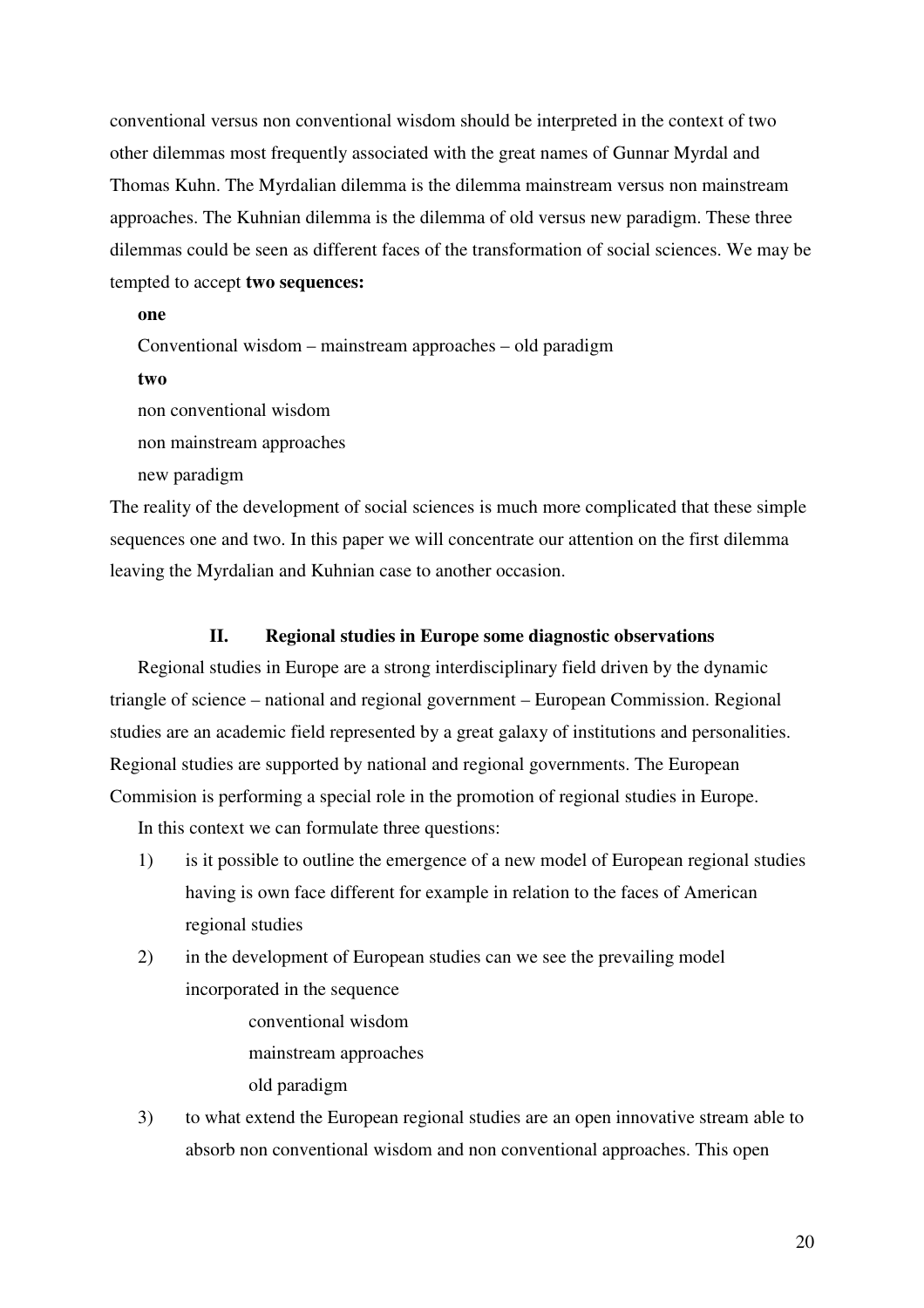conventional versus non conventional wisdom should be interpreted in the context of two other dilemmas most frequently associated with the great names of Gunnar Myrdal and Thomas Kuhn. The Myrdalian dilemma is the dilemma mainstream versus non mainstream approaches. The Kuhnian dilemma is the dilemma of old versus new paradigm. These three dilemmas could be seen as different faces of the transformation of social sciences. We may be tempted to accept **two sequences:**

#### **one**

Conventional wisdom – mainstream approaches – old paradigm

**two**

non conventional wisdom

non mainstream approaches

new paradigm

The reality of the development of social sciences is much more complicated that these simple sequences one and two. In this paper we will concentrate our attention on the first dilemma leaving the Myrdalian and Kuhnian case to another occasion.

### **II. Regional studies in Europe some diagnostic observations**

Regional studies in Europe are a strong interdisciplinary field driven by the dynamic triangle of science – national and regional government – European Commission. Regional studies are an academic field represented by a great galaxy of institutions and personalities. Regional studies are supported by national and regional governments. The European Commision is performing a special role in the promotion of regional studies in Europe.

In this context we can formulate three questions:

- 1) is it possible to outline the emergence of a new model of European regional studies having is own face different for example in relation to the faces of American regional studies
- 2) in the development of European studies can we see the prevailing model incorporated in the sequence
	- conventional wisdom mainstream approaches

old paradigm

3) to what extend the European regional studies are an open innovative stream able to absorb non conventional wisdom and non conventional approaches. This open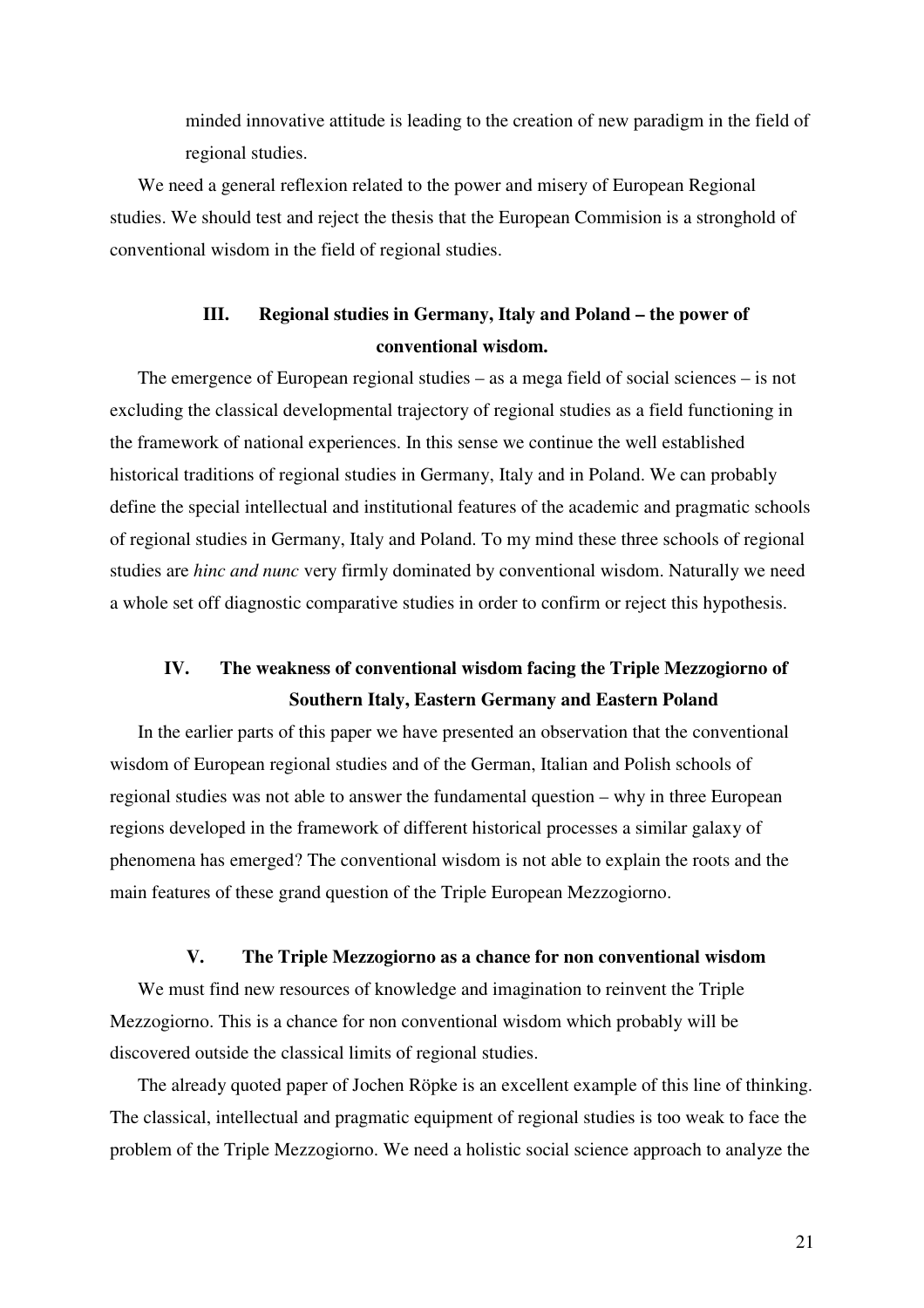minded innovative attitude is leading to the creation of new paradigm in the field of regional studies.

We need a general reflexion related to the power and misery of European Regional studies. We should test and reject the thesis that the European Commision is a stronghold of conventional wisdom in the field of regional studies.

# **III. Regional studies in Germany, Italy and Poland – the power of conventional wisdom.**

The emergence of European regional studies – as a mega field of social sciences – is not excluding the classical developmental trajectory of regional studies as a field functioning in the framework of national experiences. In this sense we continue the well established historical traditions of regional studies in Germany, Italy and in Poland. We can probably define the special intellectual and institutional features of the academic and pragmatic schools of regional studies in Germany, Italy and Poland. To my mind these three schools of regional studies are *hinc and nunc* very firmly dominated by conventional wisdom. Naturally we need a whole set off diagnostic comparative studies in order to confirm or reject this hypothesis.

# **IV. The weakness of conventional wisdom facing the Triple Mezzogiorno of Southern Italy, Eastern Germany and Eastern Poland**

In the earlier parts of this paper we have presented an observation that the conventional wisdom of European regional studies and of the German, Italian and Polish schools of regional studies was not able to answer the fundamental question – why in three European regions developed in the framework of different historical processes a similar galaxy of phenomena has emerged? The conventional wisdom is not able to explain the roots and the main features of these grand question of the Triple European Mezzogiorno.

### **V. The Triple Mezzogiorno as a chance for non conventional wisdom**

We must find new resources of knowledge and imagination to reinvent the Triple Mezzogiorno. This is a chance for non conventional wisdom which probably will be discovered outside the classical limits of regional studies.

The already quoted paper of Jochen Röpke is an excellent example of this line of thinking. The classical, intellectual and pragmatic equipment of regional studies is too weak to face the problem of the Triple Mezzogiorno. We need a holistic social science approach to analyze the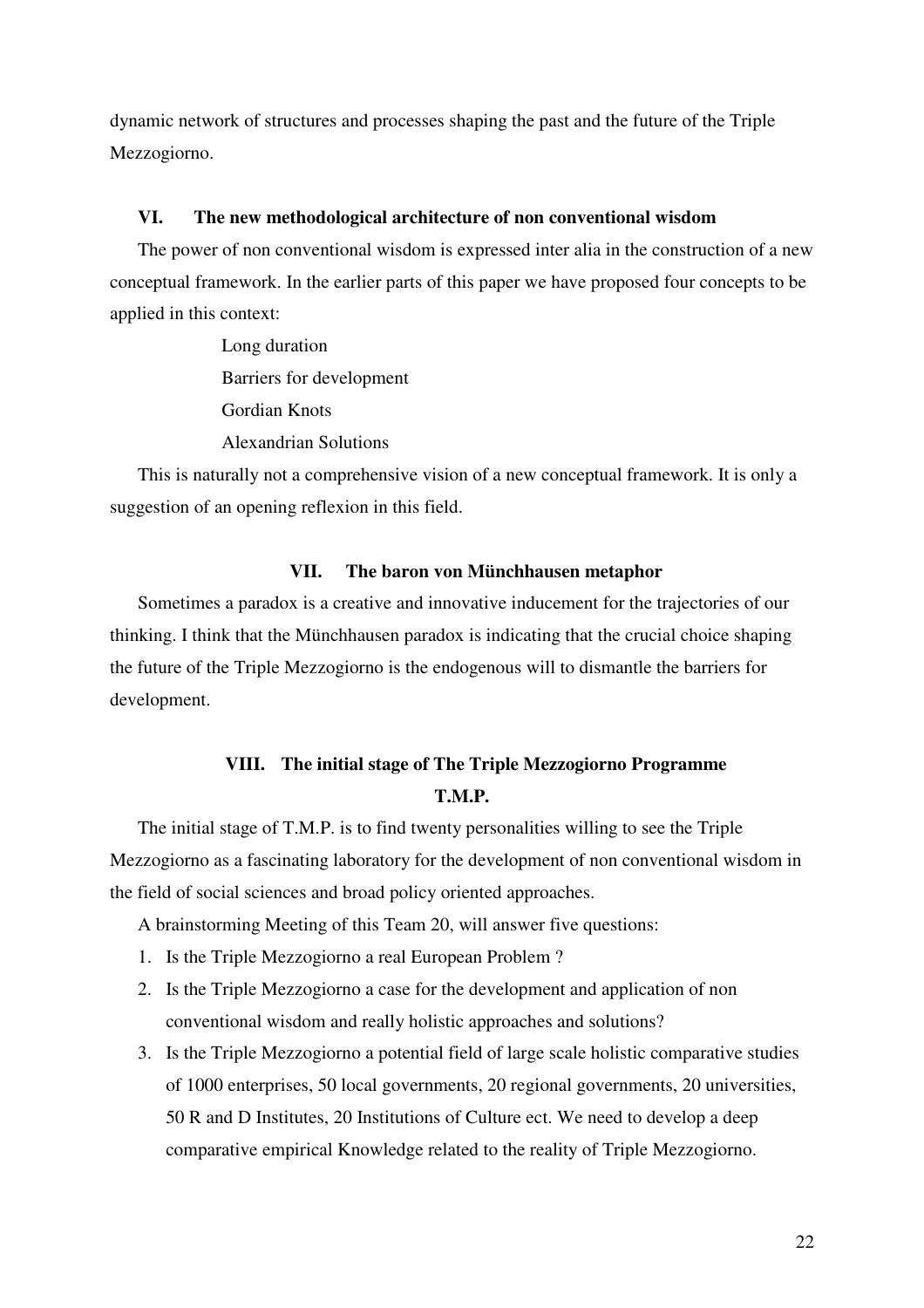dynamic network of structures and processes shaping the past and the future of the Triple Mezzogiorno.

### **VI. The new methodological architecture of non conventional wisdom**

The power of non conventional wisdom is expressed inter alia in the construction of a new conceptual framework. In the earlier parts of this paper we have proposed four concepts to be applied in this context:

> Long duration Barriers for development Gordian Knots Alexandrian Solutions

This is naturally not a comprehensive vision of a new conceptual framework. It is only a suggestion of an opening reflexion in this field.

#### **VII. The baron von Münchhausen metaphor**

Sometimes a paradox is a creative and innovative inducement for the trajectories of our thinking. I think that the Münchhausen paradox is indicating that the crucial choice shaping the future of the Triple Mezzogiorno is the endogenous will to dismantle the barriers for development.

## **VIII. The initial stage of The Triple Mezzogiorno Programme T.M.P.**

The initial stage of T.M.P. is to find twenty personalities willing to see the Triple Mezzogiorno as a fascinating laboratory for the development of non conventional wisdom in the field of social sciences and broad policy oriented approaches.

A brainstorming Meeting of this Team 20, will answer five questions:

- 1. Is the Triple Mezzogiorno a real European Problem ?
- 2. Is the Triple Mezzogiorno a case for the development and application of non conventional wisdom and really holistic approaches and solutions?
- 3. Is the Triple Mezzogiorno a potential field of large scale holistic comparative studies of 1000 enterprises, 50 local governments, 20 regional governments, 20 universities, 50 R and D Institutes, 20 Institutions of Culture ect. We need to develop a deep comparative empirical Knowledge related to the reality of Triple Mezzogiorno.